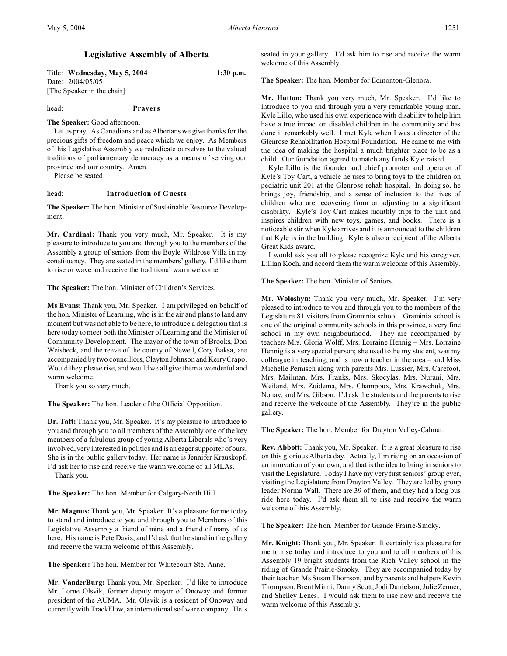# **Legislative Assembly of Alberta**

Title: **Wednesday, May 5, 2004 1:30 p.m.** Date: 2004/05/05 [The Speaker in the chair]

head: **Prayers**

**The Speaker:** Good afternoon.

Let us pray. As Canadians and as Albertans we give thanks for the precious gifts of freedom and peace which we enjoy. As Members of this Legislative Assembly we rededicate ourselves to the valued traditions of parliamentary democracy as a means of serving our province and our country. Amen.

Please be seated.

#### head: **Introduction of Guests**

**The Speaker:** The hon. Minister of Sustainable Resource Development.

**Mr. Cardinal:** Thank you very much, Mr. Speaker. It is my pleasure to introduce to you and through you to the members of the Assembly a group of seniors from the Boyle Wildrose Villa in my constituency. They are seated in the members' gallery. I'd like them to rise or wave and receive the traditional warm welcome.

**The Speaker:** The hon. Minister of Children's Services.

**Ms Evans:** Thank you, Mr. Speaker. I am privileged on behalf of the hon. Minister of Learning, who is in the air and plans to land any moment but was not able to be here, to introduce a delegation that is here today to meet both the Minister of Learning and the Minister of Community Development. The mayor of the town of Brooks, Don Weisbeck, and the reeve of the county of Newell, Cory Baksa, are accompanied by two councillors, Clayton Johnson and Kerry Crapo. Would they please rise, and would we all give them a wonderful and warm welcome.

Thank you so very much.

**The Speaker:** The hon. Leader of the Official Opposition.

**Dr. Taft:** Thank you, Mr. Speaker. It's my pleasure to introduce to you and through you to all members of the Assembly one of the key members of a fabulous group of young Alberta Liberals who's very involved, very interested in politics and is an eager supporter of ours. She is in the public gallery today. Her name is Jennifer Krauskopf. I'd ask her to rise and receive the warm welcome of all MLAs.

Thank you.

**The Speaker:** The hon. Member for Calgary-North Hill.

**Mr. Magnus:** Thank you, Mr. Speaker. It's a pleasure for me today to stand and introduce to you and through you to Members of this Legislative Assembly a friend of mine and a friend of many of us here. His name is Pete Davis, and I'd ask that he stand in the gallery and receive the warm welcome of this Assembly.

**The Speaker:** The hon. Member for Whitecourt-Ste. Anne.

**Mr. VanderBurg:** Thank you, Mr. Speaker. I'd like to introduce Mr. Lorne Olsvik, former deputy mayor of Onoway and former president of the AUMA. Mr. Olsvik is a resident of Onoway and currently with TrackFlow, an international software company. He's

seated in your gallery. I'd ask him to rise and receive the warm welcome of this Assembly.

**The Speaker:** The hon. Member for Edmonton-Glenora.

**Mr. Hutton:** Thank you very much, Mr. Speaker. I'd like to introduce to you and through you a very remarkable young man, Kyle Lillo, who used his own experience with disability to help him have a true impact on disabled children in the community and has done it remarkably well. I met Kyle when I was a director of the Glenrose Rehabilitation Hospital Foundation. He came to me with the idea of making the hospital a much brighter place to be as a child. Our foundation agreed to match any funds Kyle raised.

Kyle Lillo is the founder and chief promoter and operator of Kyle's Toy Cart, a vehicle he uses to bring toys to the children on pediatric unit 201 at the Glenrose rehab hospital. In doing so, he brings joy, friendship, and a sense of inclusion to the lives of children who are recovering from or adjusting to a significant disability. Kyle's Toy Cart makes monthly trips to the unit and inspires children with new toys, games, and books. There is a noticeable stir when Kyle arrives and it is announced to the children that Kyle is in the building. Kyle is also a recipient of the Alberta Great Kids award.

I would ask you all to please recognize Kyle and his caregiver, Lillian Koch, and accord them the warm welcome of this Assembly.

**The Speaker:** The hon. Minister of Seniors.

**Mr. Woloshyn:** Thank you very much, Mr. Speaker. I'm very pleased to introduce to you and through you to the members of the Legislature 81 visitors from Graminia school. Graminia school is one of the original community schools in this province, a very fine school in my own neighbourhood. They are accompanied by teachers Mrs. Gloria Wolff, Mrs. Lorraine Hennig – Mrs. Lorraine Hennig is a very special person; she used to be my student, was my colleague in teaching, and is now a teacher in the area – and Miss Michelle Pernisch along with parents Mrs. Lussier, Mrs. Carefoot, Mrs. Mailman, Mrs. Franks, Mrs. Skocylas, Mrs. Nurani, Mrs. Weiland, Mrs. Zuidema, Mrs. Champoux, Mrs. Krawchuk, Mrs. Nonay, and Mrs. Gibson. I'd ask the students and the parents to rise and receive the welcome of the Assembly. They're in the public gallery.

**The Speaker:** The hon. Member for Drayton Valley-Calmar.

**Rev. Abbott:** Thank you, Mr. Speaker. It is a great pleasure to rise on this glorious Alberta day. Actually, I'm rising on an occasion of an innovation of your own, and that is the idea to bring in seniors to visit the Legislature. Today I have my very first seniors' group ever, visiting the Legislature from Drayton Valley. They are led by group leader Norma Wall. There are 39 of them, and they had a long bus ride here today. I'd ask them all to rise and receive the warm welcome of this Assembly.

**The Speaker:** The hon. Member for Grande Prairie-Smoky.

**Mr. Knight:** Thank you, Mr. Speaker. It certainly is a pleasure for me to rise today and introduce to you and to all members of this Assembly 19 bright students from the Rich Valley school in the riding of Grande Prairie-Smoky. They are accompanied today by their teacher, Ms Susan Thomson, and by parents and helpers Kevin Thompson, Brent Minni, Danny Scott, Jodi Danielson, Julie Zenner, and Shelley Lenes. I would ask them to rise now and receive the warm welcome of this Assembly.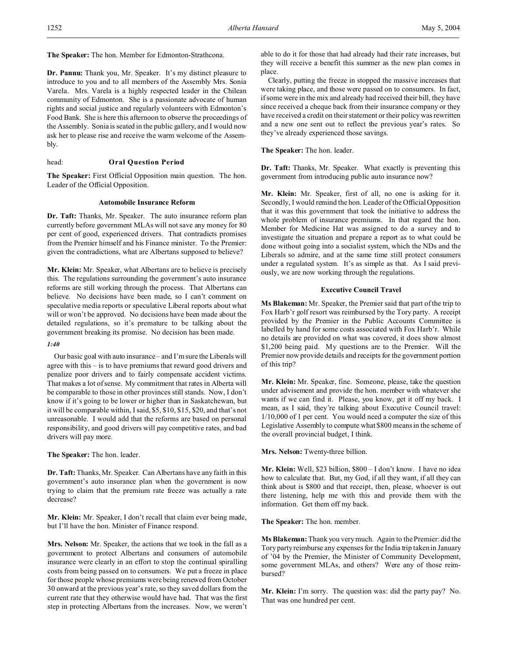**The Speaker:** The hon. Member for Edmonton-Strathcona.

**Dr. Pannu:** Thank you, Mr. Speaker. It's my distinct pleasure to introduce to you and to all members of the Assembly Mrs. Sonia Varela. Mrs. Varela is a highly respected leader in the Chilean community of Edmonton. She is a passionate advocate of human rights and social justice and regularly volunteers with Edmonton's Food Bank. She is here this afternoon to observe the proceedings of the Assembly. Sonia is seated in the public gallery, and I would now ask her to please rise and receive the warm welcome of the Assembly.

# head: **Oral Question Period**

**The Speaker:** First Official Opposition main question. The hon. Leader of the Official Opposition.

### **Automobile Insurance Reform**

**Dr. Taft:** Thanks, Mr. Speaker. The auto insurance reform plan currently before government MLAs will not save any money for 80 per cent of good, experienced drivers. That contradicts promises from the Premier himself and his Finance minister. To the Premier: given the contradictions, what are Albertans supposed to believe?

**Mr. Klein:** Mr. Speaker, what Albertans are to believe is precisely this. The regulations surrounding the government's auto insurance reforms are still working through the process. That Albertans can believe. No decisions have been made, so I can't comment on speculative media reports or speculative Liberal reports about what will or won't be approved. No decisions have been made about the detailed regulations, so it's premature to be talking about the government breaking its promise. No decision has been made.

# *1:40*

Our basic goal with auto insurance – and I'm sure the Liberals will agree with this – is to have premiums that reward good drivers and penalize poor drivers and to fairly compensate accident victims. That makes a lot of sense. My commitment that rates in Alberta will be comparable to those in other provinces still stands. Now, I don't know if it's going to be lower or higher than in Saskatchewan, but it will be comparable within, I said, \$5, \$10, \$15, \$20, and that's not unreasonable. I would add that the reforms are based on personal responsibility, and good drivers will pay competitive rates, and bad drivers will pay more.

**The Speaker:** The hon. leader.

**Dr. Taft:** Thanks, Mr. Speaker. Can Albertans have any faith in this government's auto insurance plan when the government is now trying to claim that the premium rate freeze was actually a rate decrease?

**Mr. Klein:** Mr. Speaker, I don't recall that claim ever being made, but I'll have the hon. Minister of Finance respond.

**Mrs. Nelson:** Mr. Speaker, the actions that we took in the fall as a government to protect Albertans and consumers of automobile insurance were clearly in an effort to stop the continual spiralling costs from being passed on to consumers. We put a freeze in place for those people whose premiums were being renewed from October 30 onward at the previous year's rate, so they saved dollars from the current rate that they otherwise would have had. That was the first step in protecting Albertans from the increases. Now, we weren't able to do it for those that had already had their rate increases, but they will receive a benefit this summer as the new plan comes in place.

Clearly, putting the freeze in stopped the massive increases that were taking place, and those were passed on to consumers. In fact, if some were in the mix and already had received their bill, they have since received a cheque back from their insurance company or they have received a credit on their statement or their policy was rewritten and a new one sent out to reflect the previous year's rates. So they've already experienced those savings.

# **The Speaker:** The hon. leader.

**Dr. Taft:** Thanks, Mr. Speaker. What exactly is preventing this government from introducing public auto insurance now?

**Mr. Klein:** Mr. Speaker, first of all, no one is asking for it. Secondly, I would remind the hon. Leader of the Official Opposition that it was this government that took the initiative to address the whole problem of insurance premiums. In that regard the hon. Member for Medicine Hat was assigned to do a survey and to investigate the situation and prepare a report as to what could be done without going into a socialist system, which the NDs and the Liberals so admire, and at the same time still protect consumers under a regulated system. It's as simple as that. As I said previously, we are now working through the regulations.

# **Executive Council Travel**

**Ms Blakeman:** Mr. Speaker, the Premier said that part of the trip to Fox Harb'r golf resort was reimbursed by the Tory party. A receipt provided by the Premier in the Public Accounts Committee is labelled by hand for some costs associated with Fox Harb'r. While no details are provided on what was covered, it does show almost \$1,200 being paid. My questions are to the Premier. Will the Premier now provide details and receipts for the government portion of this trip?

**Mr. Klein:** Mr. Speaker, fine. Someone, please, take the question under advisement and provide the hon. member with whatever she wants if we can find it. Please, you know, get it off my back. I mean, as I said, they're talking about Executive Council travel: 1/10,000 of 1 per cent. You would need a computer the size of this Legislative Assembly to compute what \$800 means in the scheme of the overall provincial budget, I think.

# **Mrs. Nelson:** Twenty-three billion.

**Mr. Klein:** Well, \$23 billion, \$800 – I don't know. I have no idea how to calculate that. But, my God, if all they want, if all they can think about is \$800 and that receipt, then, please, whoever is out there listening, help me with this and provide them with the information. Get them off my back.

**The Speaker:** The hon. member.

**Ms Blakeman:** Thank you very much. Again to the Premier: did the Tory party reimburse any expenses for the India trip taken in January of '04 by the Premier, the Minister of Community Development, some government MLAs, and others? Were any of those reimbursed?

**Mr. Klein:** I'm sorry. The question was: did the party pay? No. That was one hundred per cent.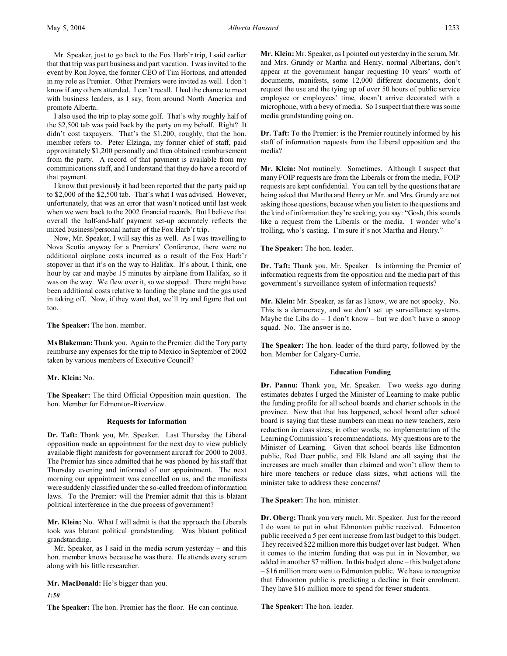Mr. Speaker, just to go back to the Fox Harb'r trip, I said earlier that that trip was part business and part vacation. I was invited to the event by Ron Joyce, the former CEO of Tim Hortons, and attended in my role as Premier. Other Premiers were invited as well. I don't know if any others attended. I can't recall. I had the chance to meet with business leaders, as I say, from around North America and promote Alberta.

I also used the trip to play some golf. That's why roughly half of the \$2,500 tab was paid back by the party on my behalf. Right? It didn't cost taxpayers. That's the \$1,200, roughly, that the hon. member refers to. Peter Elzinga, my former chief of staff, paid approximately \$1,200 personally and then obtained reimbursement from the party. A record of that payment is available from my communications staff, and I understand that they do have a record of that payment.

I know that previously it had been reported that the party paid up to \$2,000 of the \$2,500 tab. That's what I was advised. However, unfortunately, that was an error that wasn't noticed until last week when we went back to the 2002 financial records. But I believe that overall the half-and-half payment set-up accurately reflects the mixed business/personal nature of the Fox Harb'r trip.

Now, Mr. Speaker, I will say this as well. As I was travelling to Nova Scotia anyway for a Premiers' Conference, there were no additional airplane costs incurred as a result of the Fox Harb'r stopover in that it's on the way to Halifax. It's about, I think, one hour by car and maybe 15 minutes by airplane from Halifax, so it was on the way. We flew over it, so we stopped. There might have been additional costs relative to landing the plane and the gas used in taking off. Now, if they want that, we'll try and figure that out too.

**The Speaker:** The hon. member.

**Ms Blakeman:** Thank you. Again to the Premier: did the Tory party reimburse any expenses for the trip to Mexico in September of 2002 taken by various members of Executive Council?

**Mr. Klein:** No.

**The Speaker:** The third Official Opposition main question. The hon. Member for Edmonton-Riverview.

# **Requests for Information**

**Dr. Taft:** Thank you, Mr. Speaker. Last Thursday the Liberal opposition made an appointment for the next day to view publicly available flight manifests for government aircraft for 2000 to 2003. The Premier has since admitted that he was phoned by his staff that Thursday evening and informed of our appointment. The next morning our appointment was cancelled on us, and the manifests were suddenly classified under the so-called freedom of information laws. To the Premier: will the Premier admit that this is blatant political interference in the due process of government?

**Mr. Klein:** No. What I will admit is that the approach the Liberals took was blatant political grandstanding. Was blatant political grandstanding.

Mr. Speaker, as I said in the media scrum yesterday – and this hon. member knows because he was there. He attends every scrum along with his little researcher.

**Mr. MacDonald:** He's bigger than you.

*1:50*

**The Speaker:** The hon. Premier has the floor. He can continue.

**Mr. Klein:** Mr. Speaker, as I pointed out yesterday in the scrum, Mr. and Mrs. Grundy or Martha and Henry, normal Albertans, don't appear at the government hangar requesting 10 years' worth of documents, manifests, some 12,000 different documents, don't request the use and the tying up of over 50 hours of public service employee or employees' time, doesn't arrive decorated with a microphone, with a bevy of media. So I suspect that there was some media grandstanding going on.

**Dr. Taft:** To the Premier: is the Premier routinely informed by his staff of information requests from the Liberal opposition and the media?

**Mr. Klein:** Not routinely. Sometimes. Although I suspect that many FOIP requests are from the Liberals or from the media, FOIP requests are kept confidential. You can tell by the questions that are being asked that Martha and Henry or Mr. and Mrs. Grundy are not asking those questions, because when you listen to the questions and the kind of information they're seeking, you say: "Gosh, this sounds like a request from the Liberals or the media. I wonder who's trolling, who's casting. I'm sure it's not Martha and Henry."

**The Speaker:** The hon. leader.

**Dr. Taft:** Thank you, Mr. Speaker. Is informing the Premier of information requests from the opposition and the media part of this government's surveillance system of information requests?

**Mr. Klein:** Mr. Speaker, as far as I know, we are not spooky. No. This is a democracy, and we don't set up surveillance systems. Maybe the Libs  $do - I don't know - but we don't have a snoop$ squad. No. The answer is no.

**The Speaker:** The hon. leader of the third party, followed by the hon. Member for Calgary-Currie.

### **Education Funding**

**Dr. Pannu:** Thank you, Mr. Speaker. Two weeks ago during estimates debates I urged the Minister of Learning to make public the funding profile for all school boards and charter schools in the province. Now that that has happened, school board after school board is saying that these numbers can mean no new teachers, zero reduction in class sizes; in other words, no implementation of the Learning Commission's recommendations. My questions are to the Minister of Learning. Given that school boards like Edmonton public, Red Deer public, and Elk Island are all saying that the increases are much smaller than claimed and won't allow them to hire more teachers or reduce class sizes, what actions will the minister take to address these concerns?

**The Speaker:** The hon. minister.

**Dr. Oberg:** Thank you very much, Mr. Speaker. Just for the record I do want to put in what Edmonton public received. Edmonton public received a 5 per cent increase from last budget to this budget. They received \$22 million more this budget over last budget. When it comes to the interim funding that was put in in November, we added in another \$7 million. In this budget alone – this budget alone – \$16 million more went to Edmonton public. We have to recognize that Edmonton public is predicting a decline in their enrolment. They have \$16 million more to spend for fewer students.

**The Speaker:** The hon. leader.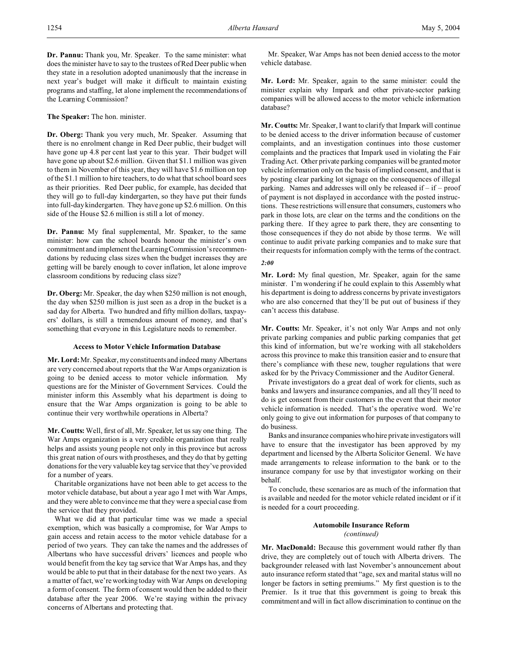**Dr. Pannu:** Thank you, Mr. Speaker. To the same minister: what does the minister have to say to the trustees of Red Deer public when they state in a resolution adopted unanimously that the increase in next year's budget will make it difficult to maintain existing programs and staffing, let alone implement the recommendations of the Learning Commission?

**The Speaker:** The hon. minister.

**Dr. Oberg:** Thank you very much, Mr. Speaker. Assuming that there is no enrolment change in Red Deer public, their budget will have gone up 4.8 per cent last year to this year. Their budget will have gone up about \$2.6 million. Given that \$1.1 million was given to them in November of this year, they will have \$1.6 million on top of the \$1.1 million to hire teachers, to do what that school board sees as their priorities. Red Deer public, for example, has decided that they will go to full-day kindergarten, so they have put their funds into full-day kindergarten. They have gone up \$2.6 million. On this side of the House \$2.6 million is still a lot of money.

**Dr. Pannu:** My final supplemental, Mr. Speaker, to the same minister: how can the school boards honour the minister's own commitment and implement the Learning Commission's recommendations by reducing class sizes when the budget increases they are getting will be barely enough to cover inflation, let alone improve classroom conditions by reducing class size?

**Dr. Oberg:** Mr. Speaker, the day when \$250 million is not enough, the day when \$250 million is just seen as a drop in the bucket is a sad day for Alberta. Two hundred and fifty million dollars, taxpayers' dollars, is still a tremendous amount of money, and that's something that everyone in this Legislature needs to remember.

# **Access to Motor Vehicle Information Database**

**Mr. Lord:**Mr. Speaker, my constituents and indeed many Albertans are very concerned about reports that the War Amps organization is going to be denied access to motor vehicle information. My questions are for the Minister of Government Services. Could the minister inform this Assembly what his department is doing to ensure that the War Amps organization is going to be able to continue their very worthwhile operations in Alberta?

**Mr. Coutts:** Well, first of all, Mr. Speaker, let us say one thing. The War Amps organization is a very credible organization that really helps and assists young people not only in this province but across this great nation of ours with prostheses, and they do that by getting donations for the very valuable key tag service that they've provided for a number of years.

Charitable organizations have not been able to get access to the motor vehicle database, but about a year ago I met with War Amps, and they were able to convince me that they were a special case from the service that they provided.

What we did at that particular time was we made a special exemption, which was basically a compromise, for War Amps to gain access and retain access to the motor vehicle database for a period of two years. They can take the names and the addresses of Albertans who have successful drivers' licences and people who would benefit from the key tag service that War Amps has, and they would be able to put that in their database for the next two years. As a matter of fact, we're working today with War Amps on developing a form of consent. The form of consent would then be added to their database after the year 2006. We're staying within the privacy concerns of Albertans and protecting that.

Mr. Speaker, War Amps has not been denied access to the motor vehicle database.

**Mr. Lord:** Mr. Speaker, again to the same minister: could the minister explain why Impark and other private-sector parking companies will be allowed access to the motor vehicle information database?

**Mr. Coutts:** Mr. Speaker, I want to clarify that Impark will continue to be denied access to the driver information because of customer complaints, and an investigation continues into those customer complaints and the practices that Impark used in violating the Fair Trading Act. Other private parking companies will be granted motor vehicle information only on the basis of implied consent, and that is by posting clear parking lot signage on the consequences of illegal parking. Names and addresses will only be released if  $-$  if  $-$  proof of payment is not displayed in accordance with the posted instructions. These restrictions will ensure that consumers, customers who park in those lots, are clear on the terms and the conditions on the parking there. If they agree to park there, they are consenting to those consequences if they do not abide by those terms. We will continue to audit private parking companies and to make sure that their requests for information comply with the terms of the contract.

# *2:00*

**Mr. Lord:** My final question, Mr. Speaker, again for the same minister. I'm wondering if he could explain to this Assembly what his department is doing to address concerns by private investigators who are also concerned that they'll be put out of business if they can't access this database.

**Mr. Coutts:** Mr. Speaker, it's not only War Amps and not only private parking companies and public parking companies that get this kind of information, but we're working with all stakeholders across this province to make this transition easier and to ensure that there's compliance with these new, tougher regulations that were asked for by the Privacy Commissioner and the Auditor General.

Private investigators do a great deal of work for clients, such as banks and lawyers and insurance companies, and all they'll need to do is get consent from their customers in the event that their motor vehicle information is needed. That's the operative word. We're only going to give out information for purposes of that company to do business.

Banks and insurance companieswhohire private investigators will have to ensure that the investigator has been approved by my department and licensed by the Alberta Solicitor General. We have made arrangements to release information to the bank or to the insurance company for use by that investigator working on their behalf.

To conclude, these scenarios are as much of the information that is available and needed for the motor vehicle related incident or if it is needed for a court proceeding.

# **Automobile Insurance Reform** *(continued)*

**Mr. MacDonald:** Because this government would rather fly than drive, they are completely out of touch with Alberta drivers. The backgrounder released with last November's announcement about auto insurance reform stated that "age, sex and marital status will no longer be factors in setting premiums." My first question is to the Premier. Is it true that this government is going to break this commitment and will in fact allow discrimination to continue on the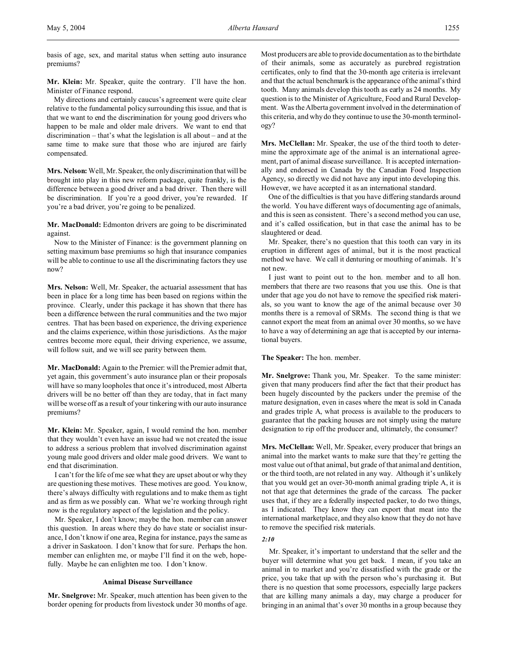basis of age, sex, and marital status when setting auto insurance premiums?

**Mr. Klein:** Mr. Speaker, quite the contrary. I'll have the hon. Minister of Finance respond.

My directions and certainly caucus's agreement were quite clear relative to the fundamental policy surrounding this issue, and that is that we want to end the discrimination for young good drivers who happen to be male and older male drivers. We want to end that discrimination – that's what the legislation is all about – and at the same time to make sure that those who are injured are fairly compensated.

**Mrs. Nelson:** Well, Mr. Speaker, the only discrimination that will be brought into play in this new reform package, quite frankly, is the difference between a good driver and a bad driver. Then there will be discrimination. If you're a good driver, you're rewarded. If you're a bad driver, you're going to be penalized.

**Mr. MacDonald:** Edmonton drivers are going to be discriminated against.

Now to the Minister of Finance: is the government planning on setting maximum base premiums so high that insurance companies will be able to continue to use all the discriminating factors they use now?

**Mrs. Nelson:** Well, Mr. Speaker, the actuarial assessment that has been in place for a long time has been based on regions within the province. Clearly, under this package it has shown that there has been a difference between the rural communities and the two major centres. That has been based on experience, the driving experience and the claims experience, within those jurisdictions. As the major centres become more equal, their driving experience, we assume, will follow suit, and we will see parity between them.

**Mr. MacDonald:** Again to the Premier: will the Premier admit that, yet again, this government's auto insurance plan or their proposals will have so many loopholes that once it's introduced, most Alberta drivers will be no better off than they are today, that in fact many will be worse off as a result of your tinkering with our auto insurance premiums?

**Mr. Klein:** Mr. Speaker, again, I would remind the hon. member that they wouldn't even have an issue had we not created the issue to address a serious problem that involved discrimination against young male good drivers and older male good drivers. We want to end that discrimination.

I can't for the life of me see what they are upset about or why they are questioning these motives. These motives are good. You know, there's always difficulty with regulations and to make them as tight and as firm as we possibly can. What we're working through right now is the regulatory aspect of the legislation and the policy.

Mr. Speaker, I don't know; maybe the hon. member can answer this question. In areas where they do have state or socialist insurance, I don't know if one area, Regina for instance, pays the same as a driver in Saskatoon. I don't know that for sure. Perhaps the hon. member can enlighten me, or maybe I'll find it on the web, hopefully. Maybe he can enlighten me too. I don't know.

# **Animal Disease Surveillance**

**Mr. Snelgrove:** Mr. Speaker, much attention has been given to the border opening for products from livestock under 30 months of age.

Most producers are able to provide documentation as to the birthdate of their animals, some as accurately as purebred registration certificates, only to find that the 30-month age criteria is irrelevant and that the actual benchmark is the appearance of the animal's third tooth. Many animals develop this tooth as early as 24 months. My question is to the Minister of Agriculture, Food and Rural Development. Was the Alberta government involved in the determination of this criteria, and why do they continue to use the 30-month terminology?

**Mrs. McClellan:** Mr. Speaker, the use of the third tooth to determine the approximate age of the animal is an international agreement, part of animal disease surveillance. It is accepted internationally and endorsed in Canada by the Canadian Food Inspection Agency, so directly we did not have any input into developing this. However, we have accepted it as an international standard.

One of the difficulties is that you have differing standards around the world. You have different ways of documenting age of animals, and this is seen as consistent. There's a second method you can use, and it's called ossification, but in that case the animal has to be slaughtered or dead.

Mr. Speaker, there's no question that this tooth can vary in its eruption in different ages of animal, but it is the most practical method we have. We call it denturing or mouthing of animals. It's not new.

I just want to point out to the hon. member and to all hon. members that there are two reasons that you use this. One is that under that age you do not have to remove the specified risk materials, so you want to know the age of the animal because over 30 months there is a removal of SRMs. The second thing is that we cannot export the meat from an animal over 30 months, so we have to have a way of determining an age that is accepted by our international buyers.

# **The Speaker:** The hon. member.

**Mr. Snelgrove:** Thank you, Mr. Speaker. To the same minister: given that many producers find after the fact that their product has been hugely discounted by the packers under the premise of the mature designation, even in cases where the meat is sold in Canada and grades triple A, what process is available to the producers to guarantee that the packing houses are not simply using the mature designation to rip off the producer and, ultimately, the consumer?

**Mrs. McClellan:** Well, Mr. Speaker, every producer that brings an animal into the market wants to make sure that they're getting the most value out of that animal, but grade of that animal and dentition, or the third tooth, are not related in any way. Although it's unlikely that you would get an over-30-month animal grading triple A, it is not that age that determines the grade of the carcass. The packer uses that, if they are a federally inspected packer, to do two things, as I indicated. They know they can export that meat into the international marketplace, and they also know that they do not have to remove the specified risk materials.

# *2:10*

Mr. Speaker, it's important to understand that the seller and the buyer will determine what you get back. I mean, if you take an animal in to market and you're dissatisfied with the grade or the price, you take that up with the person who's purchasing it. But there is no question that some processors, especially large packers that are killing many animals a day, may charge a producer for bringing in an animal that's over 30 months in a group because they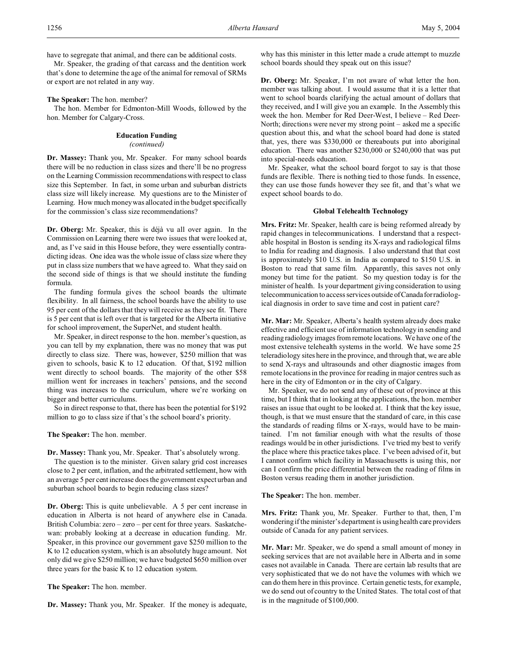have to segregate that animal, and there can be additional costs.

Mr. Speaker, the grading of that carcass and the dentition work that's done to determine the age of the animal for removal of SRMs or export are not related in any way.

**The Speaker:** The hon. member?

The hon. Member for Edmonton-Mill Woods, followed by the hon. Member for Calgary-Cross.

# **Education Funding**

### *(continued)*

**Dr. Massey:** Thank you, Mr. Speaker. For many school boards there will be no reduction in class sizes and there'll be no progress on the Learning Commission recommendations with respect to class size this September. In fact, in some urban and suburban districts class size will likely increase. My questions are to the Minister of Learning. How much money was allocated in the budget specifically for the commission's class size recommendations?

**Dr. Oberg:** Mr. Speaker, this is déjà vu all over again. In the Commission on Learning there were two issues that were looked at, and, as I've said in this House before, they were essentially contradicting ideas. One idea was the whole issue of class size where they put in class size numbers that we have agreed to. What they said on the second side of things is that we should institute the funding formula.

The funding formula gives the school boards the ultimate flexibility. In all fairness, the school boards have the ability to use 95 per cent of the dollars that they will receive as they see fit. There is 5 per cent that is left over that is targeted for the Alberta initiative for school improvement, the SuperNet, and student health.

Mr. Speaker, in direct response to the hon. member's question, as you can tell by my explanation, there was no money that was put directly to class size. There was, however, \$250 million that was given to schools, basic K to 12 education. Of that, \$192 million went directly to school boards. The majority of the other \$58 million went for increases in teachers' pensions, and the second thing was increases to the curriculum, where we're working on bigger and better curriculums.

So in direct response to that, there has been the potential for \$192 million to go to class size if that's the school board's priority.

# **The Speaker:** The hon. member.

**Dr. Massey:** Thank you, Mr. Speaker. That's absolutely wrong. The question is to the minister. Given salary grid cost increases close to 2 per cent, inflation, and the arbitrated settlement, how with an average 5 per cent increase does the government expect urban and suburban school boards to begin reducing class sizes?

**Dr. Oberg:** This is quite unbelievable. A 5 per cent increase in education in Alberta is not heard of anywhere else in Canada. British Columbia: zero – zero – per cent for three years. Saskatchewan: probably looking at a decrease in education funding. Mr. Speaker, in this province our government gave \$250 million to the K to 12 education system, which is an absolutely huge amount. Not only did we give \$250 million; we have budgeted \$650 million over three years for the basic K to 12 education system.

**The Speaker:** The hon. member.

**Dr. Massey:** Thank you, Mr. Speaker. If the money is adequate,

why has this minister in this letter made a crude attempt to muzzle school boards should they speak out on this issue?

**Dr. Oberg:** Mr. Speaker, I'm not aware of what letter the hon. member was talking about. I would assume that it is a letter that went to school boards clarifying the actual amount of dollars that they received, and I will give you an example. In the Assembly this week the hon. Member for Red Deer-West, I believe – Red Deer-North; directions were never my strong point – asked me a specific question about this, and what the school board had done is stated that, yes, there was \$330,000 or thereabouts put into aboriginal education. There was another \$230,000 or \$240,000 that was put into special-needs education.

Mr. Speaker, what the school board forgot to say is that those funds are flexible. There is nothing tied to those funds. In essence, they can use those funds however they see fit, and that's what we expect school boards to do.

### **Global Telehealth Technology**

**Mrs. Fritz:** Mr. Speaker, health care is being reformed already by rapid changes in telecommunications. I understand that a respectable hospital in Boston is sending its X-rays and radiological films to India for reading and diagnosis. I also understand that that cost is approximately \$10 U.S. in India as compared to \$150 U.S. in Boston to read that same film. Apparently, this saves not only money but time for the patient. So my question today is for the minister of health. Is your department giving consideration to using telecommunication to access services outside of Canada for radiological diagnosis in order to save time and cost in patient care?

**Mr. Mar:** Mr. Speaker, Alberta's health system already does make effective and efficient use of information technology in sending and reading radiology images from remote locations. We have one of the most extensive telehealth systems in the world. We have some 25 teleradiology sites here in the province, and through that, we are able to send X-rays and ultrasounds and other diagnostic images from remote locations in the province for reading in major centres such as here in the city of Edmonton or in the city of Calgary.

Mr. Speaker, we do not send any of these out of province at this time, but I think that in looking at the applications, the hon. member raises an issue that ought to be looked at. I think that the key issue, though, is that we must ensure that the standard of care, in this case the standards of reading films or X-rays, would have to be maintained. I'm not familiar enough with what the results of those readings would be in other jurisdictions. I've tried my best to verify the place where this practice takes place. I've been advised of it, but I cannot confirm which facility in Massachusetts is using this, nor can I confirm the price differential between the reading of films in Boston versus reading them in another jurisdiction.

**The Speaker:** The hon. member.

**Mrs. Fritz:** Thank you, Mr. Speaker. Further to that, then, I'm wondering if the minister's department is using health care providers outside of Canada for any patient services.

**Mr. Mar:** Mr. Speaker, we do spend a small amount of money in seeking services that are not available here in Alberta and in some cases not available in Canada. There are certain lab results that are very sophisticated that we do not have the volumes with which we can do them here in this province. Certain genetic tests, for example, we do send out of country to the United States. The total cost of that is in the magnitude of \$100,000.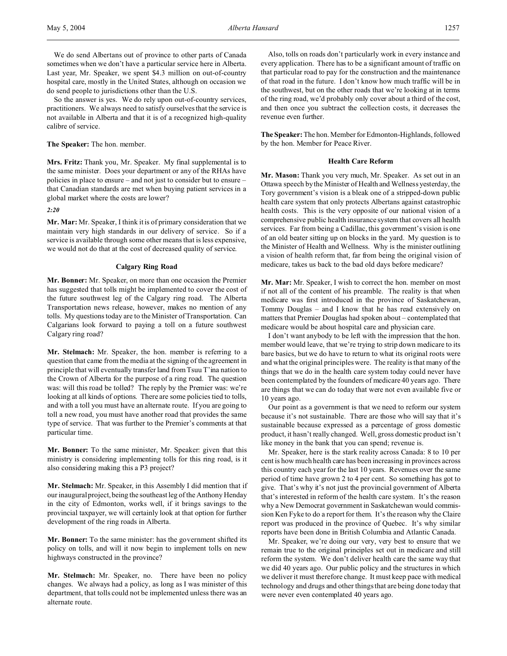So the answer is yes. We do rely upon out-of-country services, practitioners. We always need to satisfy ourselves that the service is not available in Alberta and that it is of a recognized high-quality calibre of service.

**The Speaker:** The hon. member.

**Mrs. Fritz:** Thank you, Mr. Speaker. My final supplemental is to the same minister. Does your department or any of the RHAs have policies in place to ensure – and not just to consider but to ensure – that Canadian standards are met when buying patient services in a global market where the costs are lower?

*2:20*

**Mr. Mar:** Mr. Speaker, I think it is of primary consideration that we maintain very high standards in our delivery of service. So if a service is available through some other means that is less expensive, we would not do that at the cost of decreased quality of service.

# **Calgary Ring Road**

**Mr. Bonner:** Mr. Speaker, on more than one occasion the Premier has suggested that tolls might be implemented to cover the cost of the future southwest leg of the Calgary ring road. The Alberta Transportation news release, however, makes no mention of any tolls. My questions today are to the Minister of Transportation. Can Calgarians look forward to paying a toll on a future southwest Calgary ring road?

**Mr. Stelmach:** Mr. Speaker, the hon. member is referring to a question that came from the media at the signing of the agreement in principle that will eventually transfer land from Tsuu T'ina nation to the Crown of Alberta for the purpose of a ring road. The question was: will this road be tolled? The reply by the Premier was: we're looking at all kinds of options. There are some policies tied to tolls, and with a toll you must have an alternate route. If you are going to toll a new road, you must have another road that provides the same type of service. That was further to the Premier's comments at that particular time.

**Mr. Bonner:** To the same minister, Mr. Speaker: given that this ministry is considering implementing tolls for this ring road, is it also considering making this a P3 project?

**Mr. Stelmach:** Mr. Speaker, in this Assembly I did mention that if our inaugural project, being the southeast leg of the Anthony Henday in the city of Edmonton, works well, if it brings savings to the provincial taxpayer, we will certainly look at that option for further development of the ring roads in Alberta.

**Mr. Bonner:** To the same minister: has the government shifted its policy on tolls, and will it now begin to implement tolls on new highways constructed in the province?

**Mr. Stelmach:** Mr. Speaker, no. There have been no policy changes. We always had a policy, as long as I was minister of this department, that tolls could not be implemented unless there was an alternate route.

Also, tolls on roads don't particularly work in every instance and every application. There has to be a significant amount of traffic on that particular road to pay for the construction and the maintenance of that road in the future. I don't know how much traffic will be in the southwest, but on the other roads that we're looking at in terms of the ring road, we'd probably only cover about a third of the cost, and then once you subtract the collection costs, it decreases the revenue even further.

**The Speaker:** The hon. Member for Edmonton-Highlands, followed by the hon. Member for Peace River.

# **Health Care Reform**

**Mr. Mason:** Thank you very much, Mr. Speaker. As set out in an Ottawa speech by the Minister of Health and Wellness yesterday, the Tory government's vision is a bleak one of a stripped-down public health care system that only protects Albertans against catastrophic health costs. This is the very opposite of our national vision of a comprehensive public health insurance system that covers all health services. Far from being a Cadillac, this government's vision is one of an old beater sitting up on blocks in the yard. My question is to the Minister of Health and Wellness. Why is the minister outlining a vision of health reform that, far from being the original vision of medicare, takes us back to the bad old days before medicare?

**Mr. Mar:** Mr. Speaker, I wish to correct the hon. member on most if not all of the content of his preamble. The reality is that when medicare was first introduced in the province of Saskatchewan, Tommy Douglas – and I know that he has read extensively on matters that Premier Douglas had spoken about – contemplated that medicare would be about hospital care and physician care.

I don't want anybody to be left with the impression that the hon. member would leave, that we're trying to strip down medicare to its bare basics, but we do have to return to what its original roots were and what the original principles were. The reality is that many of the things that we do in the health care system today could never have been contemplated by the founders of medicare 40 years ago. There are things that we can do today that were not even available five or 10 years ago.

Our point as a government is that we need to reform our system because it's not sustainable. There are those who will say that it's sustainable because expressed as a percentage of gross domestic product, it hasn't really changed. Well, gross domestic product isn't like money in the bank that you can spend; revenue is.

Mr. Speaker, here is the stark reality across Canada: 8 to 10 per cent is how much health care has been increasing in provinces across this country each year for the last 10 years. Revenues over the same period of time have grown 2 to 4 per cent. So something has got to give. That's why it's not just the provincial government of Alberta that's interested in reform of the health care system. It's the reason why a New Democrat government in Saskatchewan would commission Ken Fyke to do a report for them. It's the reason why the Claire report was produced in the province of Quebec. It's why similar reports have been done in British Columbia and Atlantic Canada.

Mr. Speaker, we're doing our very, very best to ensure that we remain true to the original principles set out in medicare and still reform the system. We don't deliver health care the same way that we did 40 years ago. Our public policy and the structures in which we deliver it must therefore change. It must keep pace with medical technology and drugs and other things that are being done today that were never even contemplated 40 years ago.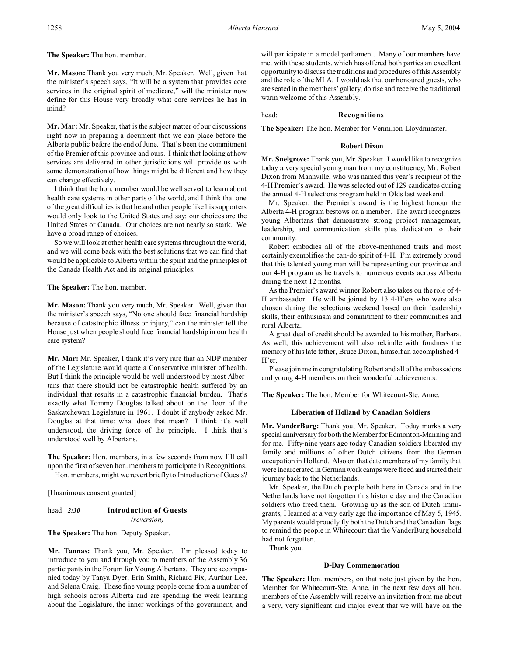**The Speaker:** The hon. member.

**Mr. Mason:** Thank you very much, Mr. Speaker. Well, given that the minister's speech says, "It will be a system that provides core services in the original spirit of medicare," will the minister now define for this House very broadly what core services he has in mind?

**Mr. Mar:** Mr. Speaker, that is the subject matter of our discussions right now in preparing a document that we can place before the Alberta public before the end of June. That's been the commitment of the Premier of this province and ours. I think that looking at how services are delivered in other jurisdictions will provide us with some demonstration of how things might be different and how they can change effectively.

I think that the hon. member would be well served to learn about health care systems in other parts of the world, and I think that one of the great difficulties is that he and other people like his supporters would only look to the United States and say: our choices are the United States or Canada. Our choices are not nearly so stark. We have a broad range of choices.

So we will look at other health care systems throughout the world, and we will come back with the best solutions that we can find that would be applicable to Alberta within the spirit and the principles of the Canada Health Act and its original principles.

# **The Speaker:** The hon. member.

**Mr. Mason:** Thank you very much, Mr. Speaker. Well, given that the minister's speech says, "No one should face financial hardship because of catastrophic illness or injury," can the minister tell the House just when people should face financial hardship in our health care system?

**Mr. Mar:** Mr. Speaker, I think it's very rare that an NDP member of the Legislature would quote a Conservative minister of health. But I think the principle would be well understood by most Albertans that there should not be catastrophic health suffered by an individual that results in a catastrophic financial burden. That's exactly what Tommy Douglas talked about on the floor of the Saskatchewan Legislature in 1961. I doubt if anybody asked Mr. Douglas at that time: what does that mean? I think it's well understood, the driving force of the principle. I think that's understood well by Albertans.

**The Speaker:** Hon. members, in a few seconds from now I'll call upon the first of seven hon. members to participate in Recognitions. Hon. members, might we revert briefly to Introduction of Guests?

[Unanimous consent granted]

# head: *2:30* **Introduction of Guests** *(reversion)*

**The Speaker:** The hon. Deputy Speaker.

**Mr. Tannas:** Thank you, Mr. Speaker. I'm pleased today to introduce to you and through you to members of the Assembly 36 participants in the Forum for Young Albertans. They are accompanied today by Tanya Dyer, Erin Smith, Richard Fix, Aurthur Lee, and Selena Craig. These fine young people come from a number of high schools across Alberta and are spending the week learning about the Legislature, the inner workings of the government, and

will participate in a model parliament. Many of our members have met with these students, which has offered both parties an excellent opportunity to discuss the traditions and procedures of this Assembly and the role of the MLA. I would ask that our honoured guests, who are seated in the members' gallery, do rise and receive the traditional warm welcome of this Assembly.

head: **Recognitions**

**The Speaker:** The hon. Member for Vermilion-Lloydminster.

# **Robert Dixon**

**Mr. Snelgrove:** Thank you, Mr. Speaker. I would like to recognize today a very special young man from my constituency, Mr. Robert Dixon from Mannville, who was named this year's recipient of the 4-H Premier's award. He was selected out of 129 candidates during the annual 4-H selections program held in Olds last weekend.

Mr. Speaker, the Premier's award is the highest honour the Alberta 4-H program bestows on a member. The award recognizes young Albertans that demonstrate strong project management, leadership, and communication skills plus dedication to their community.

Robert embodies all of the above-mentioned traits and most certainly exemplifies the can-do spirit of 4-H. I'm extremely proud that this talented young man will be representing our province and our 4-H program as he travels to numerous events across Alberta during the next 12 months.

As the Premier's award winner Robert also takes on the role of 4- H ambassador. He will be joined by 13 4-H'ers who were also chosen during the selections weekend based on their leadership skills, their enthusiasm and commitment to their communities and rural Alberta.

A great deal of credit should be awarded to his mother, Barbara. As well, this achievement will also rekindle with fondness the memory of his late father, Bruce Dixon, himself an accomplished 4- H'er.

Please join me in congratulating Robert and all of the ambassadors and young 4-H members on their wonderful achievements.

**The Speaker:** The hon. Member for Whitecourt-Ste. Anne.

### **Liberation of Holland by Canadian Soldiers**

**Mr. VanderBurg:** Thank you, Mr. Speaker. Today marks a very special anniversary for both the Member for Edmonton-Manning and for me. Fifty-nine years ago today Canadian soldiers liberated my family and millions of other Dutch citizens from the German occupation in Holland. Also on that date members of my family that were incarcerated in German work camps were freed and started their journey back to the Netherlands.

Mr. Speaker, the Dutch people both here in Canada and in the Netherlands have not forgotten this historic day and the Canadian soldiers who freed them. Growing up as the son of Dutch immigrants, I learned at a very early age the importance of May 5, 1945. My parents would proudly fly both the Dutch and the Canadian flags to remind the people in Whitecourt that the VanderBurg household had not forgotten.

Thank you.

#### **D-Day Commemoration**

**The Speaker:** Hon. members, on that note just given by the hon. Member for Whitecourt-Ste. Anne, in the next few days all hon. members of the Assembly will receive an invitation from me about a very, very significant and major event that we will have on the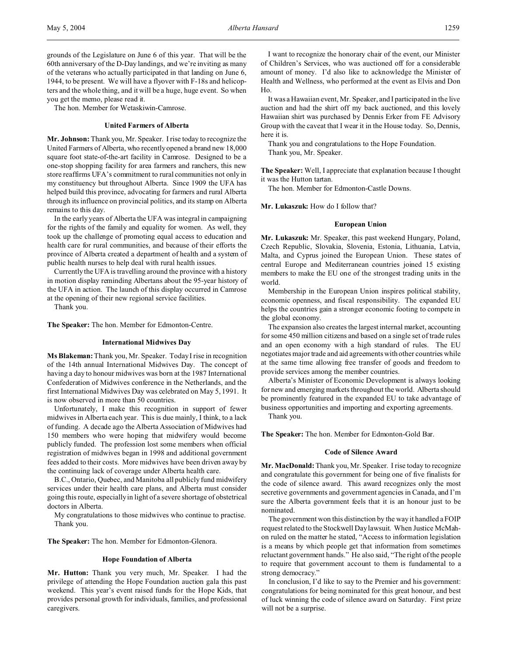grounds of the Legislature on June 6 of this year. That will be the 60th anniversary of the D-Day landings, and we're inviting as many of the veterans who actually participated in that landing on June 6, 1944, to be present. We will have a flyover with F-18s and helicopters and the whole thing, and it will be a huge, huge event. So when you get the memo, please read it.

The hon. Member for Wetaskiwin-Camrose.

# **United Farmers of Alberta**

**Mr. Johnson:** Thank you, Mr. Speaker. I rise today to recognize the United Farmers of Alberta, who recently opened a brand new 18,000 square foot state-of-the-art facility in Camrose. Designed to be a one-stop shopping facility for area farmers and ranchers, this new store reaffirms UFA's commitment to rural communities not only in my constituency but throughout Alberta. Since 1909 the UFA has helped build this province, advocating for farmers and rural Alberta through its influence on provincial politics, and its stamp on Alberta remains to this day.

In the early years of Alberta the UFA was integral in campaigning for the rights of the family and equality for women. As well, they took up the challenge of promoting equal access to education and health care for rural communities, and because of their efforts the province of Alberta created a department of health and a system of public health nurses to help deal with rural health issues.

Currently the UFA is travelling around the province with a history in motion display reminding Albertans about the 95-year history of the UFA in action. The launch of this display occurred in Camrose at the opening of their new regional service facilities.

Thank you.

**The Speaker:** The hon. Member for Edmonton-Centre.

# **International Midwives Day**

**Ms Blakeman:** Thank you, Mr. Speaker. Today I rise in recognition of the 14th annual International Midwives Day. The concept of having a day to honour midwives was born at the 1987 International Confederation of Midwives conference in the Netherlands, and the first International Midwives Day was celebrated on May 5, 1991. It is now observed in more than 50 countries.

Unfortunately, I make this recognition in support of fewer midwives in Alberta each year. This is due mainly, I think, to a lack of funding. A decade ago the Alberta Association of Midwives had 150 members who were hoping that midwifery would become publicly funded. The profession lost some members when official registration of midwives began in 1998 and additional government fees added to their costs. More midwives have been driven away by the continuing lack of coverage under Alberta health care.

B.C., Ontario, Quebec, and Manitoba all publicly fund midwifery services under their health care plans, and Alberta must consider going this route, especially in light of a severe shortage of obstetrical doctors in Alberta.

My congratulations to those midwives who continue to practise. Thank you.

**The Speaker:** The hon. Member for Edmonton-Glenora.

### **Hope Foundation of Alberta**

**Mr. Hutton:** Thank you very much, Mr. Speaker. I had the privilege of attending the Hope Foundation auction gala this past weekend. This year's event raised funds for the Hope Kids, that provides personal growth for individuals, families, and professional caregivers.

I want to recognize the honorary chair of the event, our Minister of Children's Services, who was auctioned off for a considerable amount of money. I'd also like to acknowledge the Minister of Health and Wellness, who performed at the event as Elvis and Don Ho.

It was a Hawaiian event, Mr. Speaker, and I participated in the live auction and had the shirt off my back auctioned, and this lovely Hawaiian shirt was purchased by Dennis Erker from FE Advisory Group with the caveat that I wear it in the House today. So, Dennis, here it is.

Thank you and congratulations to the Hope Foundation. Thank you, Mr. Speaker.

**The Speaker:** Well, I appreciate that explanation because I thought it was the Hutton tartan.

The hon. Member for Edmonton-Castle Downs.

**Mr. Lukaszuk:** How do I follow that?

### **European Union**

**Mr. Lukaszuk:** Mr. Speaker, this past weekend Hungary, Poland, Czech Republic, Slovakia, Slovenia, Estonia, Lithuania, Latvia, Malta, and Cyprus joined the European Union. These states of central Europe and Mediterranean countries joined 15 existing members to make the EU one of the strongest trading units in the world.

Membership in the European Union inspires political stability, economic openness, and fiscal responsibility. The expanded EU helps the countries gain a stronger economic footing to compete in the global economy.

The expansion also creates the largest internal market, accounting for some 450 million citizens and based on a single set of trade rules and an open economy with a high standard of rules. The EU negotiates major trade and aid agreements with other countries while at the same time allowing free transfer of goods and freedom to provide services among the member countries.

Alberta's Minister of Economic Development is always looking for new and emerging markets throughout the world. Alberta should be prominently featured in the expanded EU to take advantage of business opportunities and importing and exporting agreements.

Thank you.

**The Speaker:** The hon. Member for Edmonton-Gold Bar.

### **Code of Silence Award**

**Mr. MacDonald:** Thank you, Mr. Speaker. I rise today to recognize and congratulate this government for being one of five finalists for the code of silence award. This award recognizes only the most secretive governments and government agencies in Canada, and I'm sure the Alberta government feels that it is an honour just to be nominated.

The government won this distinction by the way it handled a FOIP request related to the Stockwell Day lawsuit. When Justice McMahon ruled on the matter he stated, "Access to information legislation is a means by which people get that information from sometimes reluctant government hands." He also said, "The right of the people to require that government account to them is fundamental to a strong democracy."

In conclusion, I'd like to say to the Premier and his government: congratulations for being nominated for this great honour, and best of luck winning the code of silence award on Saturday. First prize will not be a surprise.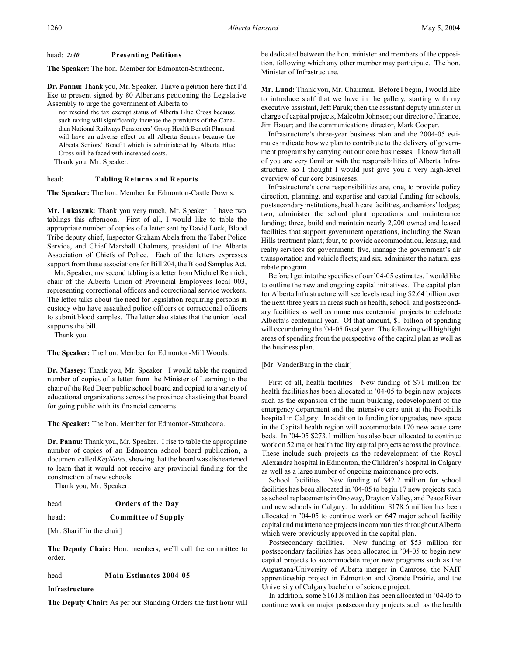# head: *2:40* **Presenting Petitions**

**The Speaker:** The hon. Member for Edmonton-Strathcona.

**Dr. Pannu:** Thank you, Mr. Speaker. I have a petition here that I'd like to present signed by 80 Albertans petitioning the Legislative Assembly to urge the government of Alberta to

not rescind the tax exempt status of Alberta Blue Cross because such taxing will significantly increase the premiums of the Canadian National Railways Pensioners' Group Health Benefit Plan and will have an adverse effect on all Alberta Seniors because the Alberta Seniors' Benefit which is administered by Alberta Blue Cross will be faced with increased costs.

Thank you, Mr. Speaker.

# head: **Tabling Returns and Reports**

**The Speaker:** The hon. Member for Edmonton-Castle Downs.

**Mr. Lukaszuk:** Thank you very much, Mr. Speaker. I have two tablings this afternoon. First of all, I would like to table the appropriate number of copies of a letter sent by David Lock, Blood Tribe deputy chief, Inspector Graham Abela from the Taber Police Service, and Chief Marshall Chalmers, president of the Alberta Association of Chiefs of Police. Each of the letters expresses support from these associations for Bill 204, the Blood Samples Act.

Mr. Speaker, my second tabling is a letter from Michael Rennich, chair of the Alberta Union of Provincial Employees local 003, representing correctional officers and correctional service workers. The letter talks about the need for legislation requiring persons in custody who have assaulted police officers or correctional officers to submit blood samples. The letter also states that the union local supports the bill.

Thank you.

**The Speaker:** The hon. Member for Edmonton-Mill Woods.

**Dr. Massey:** Thank you, Mr. Speaker. I would table the required number of copies of a letter from the Minister of Learning to the chair of the Red Deer public school board and copied to a variety of educational organizations across the province chastising that board for going public with its financial concerns.

**The Speaker:** The hon. Member for Edmonton-Strathcona.

**Dr. Pannu:** Thank you, Mr. Speaker. I rise to table the appropriate number of copies of an Edmonton school board publication, a document called *KeyNotes,* showing that the board was disheartened to learn that it would not receive any provincial funding for the construction of new schools.

Thank you, Mr. Speaker.

# head: **Orders of the Day**

head: **Committee of Supply**

[Mr. Shariff in the chair]

**The Deputy Chair:** Hon. members, we'll call the committee to order.

### head: **Main Estimates 2004-05**

### **Infrastructure**

**The Deputy Chair:** As per our Standing Orders the first hour will

be dedicated between the hon. minister and members of the opposition, following which any other member may participate. The hon. Minister of Infrastructure.

**Mr. Lund:** Thank you, Mr. Chairman. Before I begin, I would like to introduce staff that we have in the gallery, starting with my executive assistant, Jeff Paruk; then the assistant deputy minister in charge of capital projects, Malcolm Johnson; our director of finance, Jim Bauer; and the communications director, Mark Cooper.

Infrastructure's three-year business plan and the 2004-05 estimates indicate how we plan to contribute to the delivery of government programs by carrying out our core businesses. I know that all of you are very familiar with the responsibilities of Alberta Infrastructure, so I thought I would just give you a very high-level overview of our core businesses.

Infrastructure's core responsibilities are, one, to provide policy direction, planning, and expertise and capital funding for schools, postsecondary institutions, health care facilities, and seniors' lodges; two, administer the school plant operations and maintenance funding; three, build and maintain nearly 2,200 owned and leased facilities that support government operations, including the Swan Hills treatment plant; four, to provide accommodation, leasing, and realty services for government; five, manage the government's air transportation and vehicle fleets; and six, administer the natural gas rebate program.

Before I get into the specifics of our '04-05 estimates, I would like to outline the new and ongoing capital initiatives. The capital plan for Alberta Infrastructure will see levels reaching \$2.64 billion over the next three years in areas such as health, school, and postsecondary facilities as well as numerous centennial projects to celebrate Alberta's centennial year. Of that amount, \$1 billion of spending will occur during the '04-05 fiscal year. The following will highlight areas of spending from the perspective of the capital plan as well as the business plan.

# [Mr. VanderBurg in the chair]

First of all, health facilities. New funding of \$71 million for health facilities has been allocated in '04-05 to begin new projects such as the expansion of the main building, redevelopment of the emergency department and the intensive care unit at the Foothills hospital in Calgary. In addition to funding for upgrades, new space in the Capital health region will accommodate 170 new acute care beds. In '04-05 \$273.1 million has also been allocated to continue work on 52 major health facility capital projects across the province. These include such projects as the redevelopment of the Royal Alexandra hospital in Edmonton, the Children's hospital in Calgary as well as a large number of ongoing maintenance projects.

School facilities. New funding of \$42.2 million for school facilities has been allocated in '04-05 to begin 17 new projects such as school replacements in Onoway, Drayton Valley, and Peace River and new schools in Calgary. In addition, \$178.6 million has been allocated in '04-05 to continue work on 647 major school facility capital and maintenance projects in communities throughout Alberta which were previously approved in the capital plan.

Postsecondary facilities. New funding of \$53 million for postsecondary facilities has been allocated in '04-05 to begin new capital projects to accommodate major new programs such as the Augustana/University of Alberta merger in Camrose, the NAIT apprenticeship project in Edmonton and Grande Prairie, and the University of Calgary bachelor of science project.

In addition, some \$161.8 million has been allocated in '04-05 to continue work on major postsecondary projects such as the health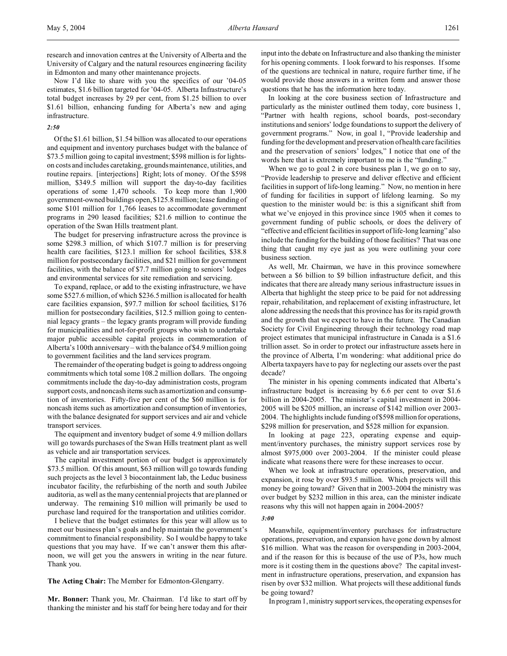research and innovation centres at the University of Alberta and the University of Calgary and the natural resources engineering facility in Edmonton and many other maintenance projects.

Now I'd like to share with you the specifics of our '04-05 estimates, \$1.6 billion targeted for '04-05. Alberta Infrastructure's total budget increases by 29 per cent, from \$1.25 billion to over \$1.61 billion, enhancing funding for Alberta's new and aging infrastructure.

# *2:50*

Of the \$1.61 billion, \$1.54 billion was allocated to our operations and equipment and inventory purchases budget with the balance of \$73.5 million going to capital investment; \$598 million is for lightson costs and includes caretaking, grounds maintenance, utilities, and routine repairs. [interjections] Right; lots of money. Of the \$598 million, \$349.5 million will support the day-to-day facilities operations of some 1,470 schools. To keep more than 1,900 government-owned buildings open, \$125.8 million; lease funding of some \$101 million for 1,766 leases to accommodate government programs in 290 leased facilities; \$21.6 million to continue the operation of the Swan Hills treatment plant.

The budget for preserving infrastructure across the province is some \$298.3 million, of which \$107.7 million is for preserving health care facilities, \$123.1 million for school facilities, \$38.8 million for postsecondary facilities, and \$21 million for government facilities, with the balance of \$7.7 million going to seniors' lodges and environmental services for site remediation and servicing.

To expand, replace, or add to the existing infrastructure, we have some \$527.6 million, of which \$236.5 million is allocated for health care facilities expansion, \$97.7 million for school facilities, \$176 million for postsecondary facilities, \$12.5 million going to centennial legacy grants – the legacy grants program will provide funding for municipalities and not-for-profit groups who wish to undertake major public accessible capital projects in commemoration of Alberta's 100th anniversary – with the balance of \$4.9 million going to government facilities and the land services program.

The remainder of the operating budget is going to address ongoing commitments which total some 108.2 million dollars. The ongoing commitments include the day-to-day administration costs, program support costs, and noncash items such as amortization and consumption of inventories. Fifty-five per cent of the \$60 million is for noncash items such as amortization and consumption of inventories, with the balance designated for support services and air and vehicle transport services.

The equipment and inventory budget of some 4.9 million dollars will go towards purchases of the Swan Hills treatment plant as well as vehicle and air transportation services.

The capital investment portion of our budget is approximately \$73.5 million. Of this amount, \$63 million will go towards funding such projects as the level 3 biocontainment lab, the Leduc business incubator facility, the refurbishing of the north and south Jubilee auditoria, as well as the many centennial projects that are planned or underway. The remaining \$10 million will primarily be used to purchase land required for the transportation and utilities corridor.

I believe that the budget estimates for this year will allow us to meet our business plan's goals and help maintain the government's commitment to financial responsibility. So I would be happy to take questions that you may have. If we can't answer them this afternoon, we will get you the answers in writing in the near future. Thank you.

**The Acting Chair:** The Member for Edmonton-Glengarry.

**Mr. Bonner:** Thank you, Mr. Chairman. I'd like to start off by thanking the minister and his staff for being here today and for their input into the debate on Infrastructure and also thanking the minister for his opening comments. I look forward to his responses. If some of the questions are technical in nature, require further time, if he would provide those answers in a written form and answer those questions that he has the information here today.

In looking at the core business section of Infrastructure and particularly as the minister outlined them today, core business 1, "Partner with health regions, school boards, post-secondary institutions and seniors' lodge foundations to support the delivery of government programs." Now, in goal 1, "Provide leadership and funding for the development and preservation of health care facilities and the preservation of seniors' lodges," I notice that one of the words here that is extremely important to me is the "funding."

When we go to goal 2 in core business plan 1, we go on to say, "Provide leadership to preserve and deliver effective and efficient facilities in support of life-long learning." Now, no mention in here of funding for facilities in support of lifelong learning. So my question to the minister would be: is this a significant shift from what we've enjoyed in this province since 1905 when it comes to government funding of public schools, or does the delivery of "effective and efficient facilities in support of life-long learning" also include the funding for the building of those facilities? That was one thing that caught my eye just as you were outlining your core business section.

As well, Mr. Chairman, we have in this province somewhere between a \$6 billion to \$9 billion infrastructure deficit, and this indicates that there are already many serious infrastructure issues in Alberta that highlight the steep price to be paid for not addressing repair, rehabilitation, and replacement of existing infrastructure, let alone addressing the needs that this province has for its rapid growth and the growth that we expect to have in the future. The Canadian Society for Civil Engineering through their technology road map project estimates that municipal infrastructure in Canada is a \$1.6 trillion asset. So in order to protect our infrastructure assets here in the province of Alberta, I'm wondering: what additional price do Alberta taxpayers have to pay for neglecting our assets over the past decade?

The minister in his opening comments indicated that Alberta's infrastructure budget is increasing by 6.6 per cent to over \$1.6 billion in 2004-2005. The minister's capital investment in 2004- 2005 will be \$205 million, an increase of \$142 million over 2003- 2004. The highlights include funding of \$598 million for operations, \$298 million for preservation, and \$528 million for expansion.

In looking at page 223, operating expense and equipment/inventory purchases, the ministry support services rose by almost \$975,000 over 2003-2004. If the minister could please indicate what reasons there were for these increases to occur.

When we look at infrastructure operations, preservation, and expansion, it rose by over \$93.5 million. Which projects will this money be going toward? Given that in 2003-2004 the ministry was over budget by \$232 million in this area, can the minister indicate reasons why this will not happen again in 2004-2005?

# *3:00*

Meanwhile, equipment/inventory purchases for infrastructure operations, preservation, and expansion have gone down by almost \$16 million. What was the reason for overspending in 2003-2004, and if the reason for this is because of the use of P3s, how much more is it costing them in the questions above? The capital investment in infrastructure operations, preservation, and expansion has risen by over \$32 million. What projects will these additional funds be going toward?

In program 1,ministry support services, the operating expenses for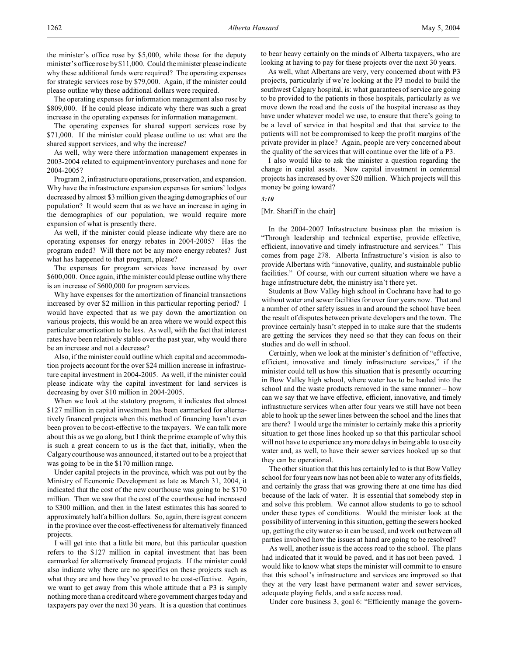The operating expenses for information management also rose by \$809,000. If he could please indicate why there was such a great increase in the operating expenses for information management.

The operating expenses for shared support services rose by \$71,000. If the minister could please outline to us: what are the shared support services, and why the increase?

As well, why were there information management expenses in 2003-2004 related to equipment/inventory purchases and none for 2004-2005?

Program 2, infrastructure operations, preservation, and expansion. Why have the infrastructure expansion expenses for seniors' lodges decreased by almost \$3 million given the aging demographics of our population? It would seem that as we have an increase in aging in the demographics of our population, we would require more expansion of what is presently there.

As well, if the minister could please indicate why there are no operating expenses for energy rebates in 2004-2005? Has the program ended? Will there not be any more energy rebates? Just what has happened to that program, please?

The expenses for program services have increased by over \$600,000. Once again, if the minister could please outline why there is an increase of \$600,000 for program services.

Why have expenses for the amortization of financial transactions increased by over \$2 million in this particular reporting period? I would have expected that as we pay down the amortization on various projects, this would be an area where we would expect this particular amortization to be less. As well, with the fact that interest rates have been relatively stable over the past year, why would there be an increase and not a decrease?

Also, if the minister could outline which capital and accommodation projects account for the over \$24 million increase in infrastructure capital investment in 2004-2005. As well, if the minister could please indicate why the capital investment for land services is decreasing by over \$10 million in 2004-2005.

When we look at the statutory program, it indicates that almost \$127 million in capital investment has been earmarked for alternatively financed projects when this method of financing hasn't even been proven to be cost-effective to the taxpayers. We can talk more about this as we go along, but I think the prime example of why this is such a great concern to us is the fact that, initially, when the Calgary courthouse was announced, it started out to be a project that was going to be in the \$170 million range.

Under capital projects in the province, which was put out by the Ministry of Economic Development as late as March 31, 2004, it indicated that the cost of the new courthouse was going to be \$170 million. Then we saw that the cost of the courthouse had increased to \$300 million, and then in the latest estimates this has soared to approximately half a billion dollars. So, again, there is great concern in the province over the cost-effectiveness for alternatively financed projects.

I will get into that a little bit more, but this particular question refers to the \$127 million in capital investment that has been earmarked for alternatively financed projects. If the minister could also indicate why there are no specifics on these projects such as what they are and how they've proved to be cost-effective. Again, we want to get away from this whole attitude that a P3 is simply nothing more than a credit card where government charges today and taxpayers pay over the next 30 years. It is a question that continues

to bear heavy certainly on the minds of Alberta taxpayers, who are looking at having to pay for these projects over the next 30 years.

As well, what Albertans are very, very concerned about with P3 projects, particularly if we're looking at the P3 model to build the southwest Calgary hospital, is: what guarantees of service are going to be provided to the patients in those hospitals, particularly as we move down the road and the costs of the hospital increase as they have under whatever model we use, to ensure that there's going to be a level of service in that hospital and that that service to the patients will not be compromised to keep the profit margins of the private provider in place? Again, people are very concerned about the quality of the services that will continue over the life of a P3.

I also would like to ask the minister a question regarding the change in capital assets. New capital investment in centennial projects has increased by over \$20 million. Which projects will this money be going toward?

*3:10*

### [Mr. Shariff in the chair]

In the 2004-2007 Infrastructure business plan the mission is "Through leadership and technical expertise, provide effective, efficient, innovative and timely infrastructure and services." This comes from page 278. Alberta Infrastructure's vision is also to provide Albertans with "innovative, quality, and sustainable public facilities." Of course, with our current situation where we have a huge infrastructure debt, the ministry isn't there yet.

Students at Bow Valley high school in Cochrane have had to go without water and sewer facilities for over four years now. That and a number of other safety issues in and around the school have been the result of disputes between private developers and the town. The province certainly hasn't stepped in to make sure that the students are getting the services they need so that they can focus on their studies and do well in school.

Certainly, when we look at the minister's definition of "effective, efficient, innovative and timely infrastructure services," if the minister could tell us how this situation that is presently occurring in Bow Valley high school, where water has to be hauled into the school and the waste products removed in the same manner – how can we say that we have effective, efficient, innovative, and timely infrastructure services when after four years we still have not been able to hook up the sewer lines between the school and the lines that are there? I would urge the minister to certainly make this a priority situation to get those lines hooked up so that this particular school will not have to experience any more delays in being able to use city water and, as well, to have their sewer services hooked up so that they can be operational.

The other situation that this has certainly led to is that Bow Valley school for four years now has not been able to water any of its fields, and certainly the grass that was growing there at one time has died because of the lack of water. It is essential that somebody step in and solve this problem. We cannot allow students to go to school under these types of conditions. Would the minister look at the possibility of intervening in this situation, getting the sewers hooked up, getting the city water so it can be used, and work out between all parties involved how the issues at hand are going to be resolved?

As well, another issue is the access road to the school. The plans had indicated that it would be paved, and it has not been paved. I would like to know what steps the minister will commit to to ensure that this school's infrastructure and services are improved so that they at the very least have permanent water and sewer services, adequate playing fields, and a safe access road.

Under core business 3, goal 6: "Efficiently manage the govern-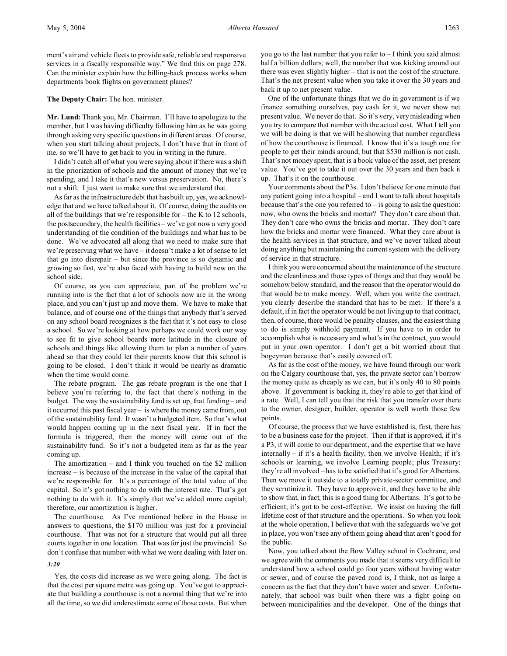ment's air and vehicle fleets to provide safe, reliable and responsive services in a fiscally responsible way." We find this on page 278. Can the minister explain how the billing-back process works when departments book flights on government planes?

# **The Deputy Chair:** The hon. minister.

**Mr. Lund:** Thank you, Mr. Chairman. I'll have to apologize to the member, but I was having difficulty following him as he was going through asking very specific questions in different areas. Of course, when you start talking about projects, I don't have that in front of me, so we'll have to get back to you in writing in the future.

I didn't catch all of what you were saying about if there was a shift in the priorization of schools and the amount of money that we're spending, and I take it that's new versus preservation. No, there's not a shift. I just want to make sure that we understand that.

As far as the infrastructure debt that has built up, yes, we acknowledge that and we have talked about it. Of course, doing the audits on all of the buildings that we're responsible for – the K to 12 schools, the postsecondary, the health facilities – we've got now a very good understanding of the condition of the buildings and what has to be done. We've advocated all along that we need to make sure that we're preserving what we have – it doesn't make a lot of sense to let that go into disrepair – but since the province is so dynamic and growing so fast, we're also faced with having to build new on the school side.

Of course, as you can appreciate, part of the problem we're running into is the fact that a lot of schools now are in the wrong place, and you can't just up and move them. We have to make that balance, and of course one of the things that anybody that's served on any school board recognizes is the fact that it's not easy to close a school. So we're looking at how perhaps we could work our way to see fit to give school boards more latitude in the closure of schools and things like allowing them to plan a number of years ahead so that they could let their parents know that this school is going to be closed. I don't think it would be nearly as dramatic when the time would come.

The rebate program. The gas rebate program is the one that I believe you're referring to, the fact that there's nothing in the budget. The way the sustainability fund is set up, that funding – and it occurred this past fiscal year – is where the money came from, out of the sustainability fund. It wasn't a budgeted item. So that's what would happen coming up in the next fiscal year. If in fact the formula is triggered, then the money will come out of the sustainability fund. So it's not a budgeted item as far as the year coming up.

The amortization – and I think you touched on the \$2 million increase – is because of the increase in the value of the capital that we're responsible for. It's a percentage of the total value of the capital. So it's got nothing to do with the interest rate. That's got nothing to do with it. It's simply that we've added more capital; therefore, our amortization is higher.

The courthouse. As I've mentioned before in the House in answers to questions, the \$170 million was just for a provincial courthouse. That was not for a structure that would put all three courts together in one location. That was for just the provincial. So don't confuse that number with what we were dealing with later on.

Yes, the costs did increase as we were going along. The fact is that the cost per square metre was going up. You've got to appreciate that building a courthouse is not a normal thing that we're into all the time, so we did underestimate some of those costs. But when

*3:20*

you go to the last number that you refer to – I think you said almost half a billion dollars; well, the number that was kicking around out there was even slightly higher – that is not the cost of the structure. That's the net present value when you take it over the 30 years and back it up to net present value.

One of the unfortunate things that we do in government is if we finance something ourselves, pay cash for it, we never show net present value. We never do that. So it's very, very misleading when you try to compare that number with the actual cost. What I tell you we will be doing is that we will be showing that number regardless of how the courthouse is financed. I know that it's a tough one for people to get their minds around, but that \$530 million is not cash. That's not money spent; that is a book value of the asset, net present value. You've got to take it out over the 30 years and then back it up. That's it on the courthouse.

Your comments about the P3s. I don't believe for one minute that any patient going into a hospital – and I want to talk about hospitals because that's the one you referred to  $-$  is going to ask the question: now, who owns the bricks and mortar? They don't care about that. They don't care who owns the bricks and mortar. They don't care how the bricks and mortar were financed. What they care about is the health services in that structure, and we've never talked about doing anything but maintaining the current system with the delivery of service in that structure.

I think you were concerned about the maintenance of the structure and the cleanliness and those types of things and that they would be somehow below standard, and the reason that the operator would do that would be to make money. Well, when you write the contract, you clearly describe the standard that has to be met. If there's a default, if in fact the operator would be not living up to that contract, then, of course, there would be penalty clauses, and the easiest thing to do is simply withhold payment. If you have to in order to accomplish what is necessary and what's in the contract, you would put in your own operator. I don't get a bit worried about that bogeyman because that's easily covered off.

As far as the cost of the money, we have found through our work on the Calgary courthouse that, yes, the private sector can't borrow the money quite as cheaply as we can, but it's only 40 to 80 points above. If government is backing it, they're able to get that kind of a rate. Well, I can tell you that the risk that you transfer over there to the owner, designer, builder, operator is well worth those few points.

Of course, the process that we have established is, first, there has to be a business case for the project. Then if that is approved, if it's a P3, it will come to our department, and the expertise that we have internally – if it's a health facility, then we involve Health; if it's schools or learning, we involve Learning people; plus Treasury; they're all involved – has to be satisfied that it's good for Albertans. Then we move it outside to a totally private-sector committee, and they scrutinize it. They have to approve it, and they have to be able to show that, in fact, this is a good thing for Albertans. It's got to be efficient; it's got to be cost-effective. We insist on having the full lifetime cost of that structure and the operations. So when you look at the whole operation, I believe that with the safeguards we've got in place, you won't see any of them going ahead that aren't good for the public.

Now, you talked about the Bow Valley school in Cochrane, and we agree with the comments you made that it seems very difficult to understand how a school could go four years without having water or sewer, and of course the paved road is, I think, not as large a concern as the fact that they don't have water and sewer. Unfortunately, that school was built when there was a fight going on between municipalities and the developer. One of the things that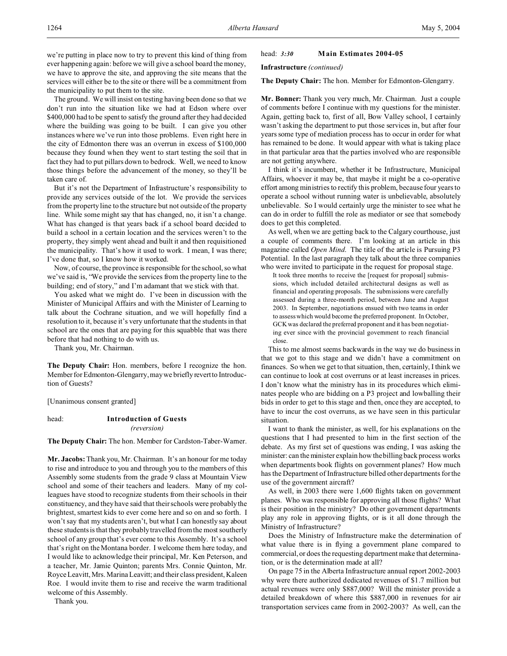we're putting in place now to try to prevent this kind of thing from ever happening again: before we will give a school board the money, we have to approve the site, and approving the site means that the services will either be to the site or there will be a commitment from the municipality to put them to the site.

The ground. We will insist on testing having been done so that we don't run into the situation like we had at Edson where over \$400,000 had to be spent to satisfy the ground after they had decided where the building was going to be built. I can give you other instances where we've run into those problems. Even right here in the city of Edmonton there was an overrun in excess of \$100,000 because they found when they went to start testing the soil that in fact they had to put pillars down to bedrock. Well, we need to know those things before the advancement of the money, so they'll be taken care of.

But it's not the Department of Infrastructure's responsibility to provide any services outside of the lot. We provide the services from the property line to the structure but not outside of the property line. While some might say that has changed, no, it isn't a change. What has changed is that years back if a school board decided to build a school in a certain location and the services weren't to the property, they simply went ahead and built it and then requisitioned the municipality. That's how it used to work. I mean, I was there; I've done that, so I know how it worked.

Now, of course, the province is responsible for the school, so what we've said is, "We provide the services from the property line to the building; end of story," and I'm adamant that we stick with that.

You asked what we might do. I've been in discussion with the Minister of Municipal Affairs and with the Minister of Learning to talk about the Cochrane situation, and we will hopefully find a resolution to it, because it's very unfortunate that the students in that school are the ones that are paying for this squabble that was there before that had nothing to do with us.

Thank you, Mr. Chairman.

**The Deputy Chair:** Hon. members, before I recognize the hon. Member for Edmonton-Glengarry, may we briefly revert to Introduction of Guests?

[Unanimous consent granted]

# head: **Introduction of Guests**

*(reversion)*

**The Deputy Chair:** The hon. Member for Cardston-Taber-Warner.

**Mr. Jacobs:**Thank you, Mr. Chairman. It's an honour for me today to rise and introduce to you and through you to the members of this Assembly some students from the grade 9 class at Mountain View school and some of their teachers and leaders. Many of my colleagues have stood to recognize students from their schools in their constituency, and they have said that their schools were probably the brightest, smartest kids to ever come here and so on and so forth. I won't say that my students aren't, but what I can honestly say about these students is that they probably travelled from the most southerly school of any group that's ever come to this Assembly. It's a school that's right on the Montana border. I welcome them here today, and I would like to acknowledge their principal, Mr. Ken Peterson, and a teacher, Mr. Jamie Quinton; parents Mrs. Connie Quinton, Mr. Royce Leavitt, Mrs. Marina Leavitt; and their class president, Kaleen Roe. I would invite them to rise and receive the warm traditional welcome of this Assembly.

Thank you.

### head: *3:30* **Main Estimates 2004-05**

**Infrastructure** *(continued)*

**The Deputy Chair:** The hon. Member for Edmonton-Glengarry.

**Mr. Bonner:** Thank you very much, Mr. Chairman. Just a couple of comments before I continue with my questions for the minister. Again, getting back to, first of all, Bow Valley school, I certainly wasn't asking the department to put those services in, but after four years some type of mediation process has to occur in order for what has remained to be done. It would appear with what is taking place in that particular area that the parties involved who are responsible are not getting anywhere.

I think it's incumbent, whether it be Infrastructure, Municipal Affairs, whoever it may be, that maybe it might be a co-operative effort among ministries to rectify this problem, because four years to operate a school without running water is unbelievable, absolutely unbelievable. So I would certainly urge the minister to see what he can do in order to fulfill the role as mediator or see that somebody does to get this completed.

As well, when we are getting back to the Calgary courthouse, just a couple of comments there. I'm looking at an article in this magazine called *Open Mind*. The title of the article is Pursuing P3 Potential. In the last paragraph they talk about the three companies who were invited to participate in the request for proposal stage.

It took three months to receive the [request for proposal] submissions, which included detailed architectural designs as well as financial and operating proposals. The submissions were carefully assessed during a three-month period, between June and August 2003. In September, negotiations ensued with two teams in order to assess which would become the preferred proponent. In October, GCK was declared the preferred proponent and it has been negotiating ever since with the provincial government to reach financial close.

This to me almost seems backwards in the way we do business in that we got to this stage and we didn't have a commitment on finances. So when we get to that situation, then, certainly, I think we can continue to look at cost overruns or at least increases in prices. I don't know what the ministry has in its procedures which eliminates people who are bidding on a P3 project and lowballing their bids in order to get to this stage and then, once they are accepted, to have to incur the cost overruns, as we have seen in this particular situation.

I want to thank the minister, as well, for his explanations on the questions that I had presented to him in the first section of the debate. As my first set of questions was ending, I was asking the minister: can the minister explain how the billing back process works when departments book flights on government planes? How much has the Department of Infrastructure billed other departments for the use of the government aircraft?

As well, in 2003 there were 1,600 flights taken on government planes. Who was responsible for approving all those flights? What is their position in the ministry? Do other government departments play any role in approving flights, or is it all done through the Ministry of Infrastructure?

Does the Ministry of Infrastructure make the determination of what value there is in flying a government plane compared to commercial, or does the requesting department make that determination, or is the determination made at all?

On page 75 in the Alberta Infrastructure annual report 2002-2003 why were there authorized dedicated revenues of \$1.7 million but actual revenues were only \$887,000? Will the minister provide a detailed breakdown of where this \$887,000 in revenues for air transportation services came from in 2002-2003? As well, can the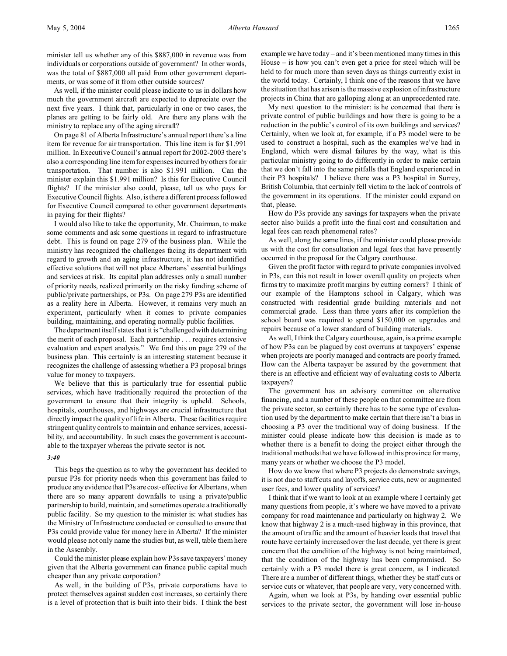minister tell us whether any of this \$887,000 in revenue was from individuals or corporations outside of government? In other words, was the total of \$887,000 all paid from other government departments, or was some of it from other outside sources?

As well, if the minister could please indicate to us in dollars how much the government aircraft are expected to depreciate over the next five years. I think that, particularly in one or two cases, the planes are getting to be fairly old. Are there any plans with the ministry to replace any of the aging aircraft?

On page 81 of Alberta Infrastructure's annual report there's a line item for revenue for air transportation. This line item is for \$1.991 million. In Executive Council's annual report for 2002-2003 there's also a corresponding line item for expenses incurred by others for air transportation. That number is also \$1.991 million. Can the minister explain this \$1.991 million? Is this for Executive Council flights? If the minister also could, please, tell us who pays for Executive Council flights. Also, is there a different process followed for Executive Council compared to other government departments in paying for their flights?

I would also like to take the opportunity, Mr. Chairman, to make some comments and ask some questions in regard to infrastructure debt. This is found on page 279 of the business plan. While the ministry has recognized the challenges facing its department with regard to growth and an aging infrastructure, it has not identified effective solutions that will not place Albertans' essential buildings and services at risk. Its capital plan addresses only a small number of priority needs, realized primarily on the risky funding scheme of public/private partnerships, or P3s. On page 279 P3s are identified as a reality here in Alberta. However, it remains very much an experiment, particularly when it comes to private companies building, maintaining, and operating normally public facilities.

The department itself states that it is "challenged with determining the merit of each proposal. Each partnership . . . requires extensive evaluation and expert analysis." We find this on page 279 of the business plan. This certainly is an interesting statement because it recognizes the challenge of assessing whether a P3 proposal brings value for money to taxpayers.

We believe that this is particularly true for essential public services, which have traditionally required the protection of the government to ensure that their integrity is upheld. Schools, hospitals, courthouses, and highways are crucial infrastructure that directly impact the quality of life in Alberta. These facilities require stringent quality controls to maintain and enhance services, accessibility, and accountability. In such cases the government is accountable to the taxpayer whereas the private sector is not.

# *3:40*

This begs the question as to why the government has decided to pursue P3s for priority needs when this government has failed to produce any evidence that P3s are cost-effective for Albertans, when there are so many apparent downfalls to using a private/public partnership to build, maintain, and sometimes operate a traditionally public facility. So my question to the minister is: what studies has the Ministry of Infrastructure conducted or consulted to ensure that P3s could provide value for money here in Alberta? If the minister would please not only name the studies but, as well, table them here in the Assembly.

Could the minister please explain how P3s save taxpayers' money given that the Alberta government can finance public capital much cheaper than any private corporation?

As well, in the building of P3s, private corporations have to protect themselves against sudden cost increases, so certainly there is a level of protection that is built into their bids. I think the best example we have today – and it's been mentioned many times in this House – is how you can't even get a price for steel which will be held to for much more than seven days as things currently exist in the world today. Certainly, I think one of the reasons that we have the situation that has arisen is the massive explosion of infrastructure projects in China that are galloping along at an unprecedented rate.

My next question to the minister: is he concerned that there is private control of public buildings and how there is going to be a reduction in the public's control of its own buildings and services? Certainly, when we look at, for example, if a P3 model were to be used to construct a hospital, such as the examples we've had in England, which were dismal failures by the way, what is this particular ministry going to do differently in order to make certain that we don't fall into the same pitfalls that England experienced in their P3 hospitals? I believe there was a P3 hospital in Surrey, British Columbia, that certainly fell victim to the lack of controls of the government in its operations. If the minister could expand on that, please.

How do P3s provide any savings for taxpayers when the private sector also builds a profit into the final cost and consultation and legal fees can reach phenomenal rates?

As well, along the same lines, if the minister could please provide us with the cost for consultation and legal fees that have presently occurred in the proposal for the Calgary courthouse.

Given the profit factor with regard to private companies involved in P3s, can this not result in lower overall quality on projects when firms try to maximize profit margins by cutting corners? I think of our example of the Hamptons school in Calgary, which was constructed with residential grade building materials and not commercial grade. Less than three years after its completion the school board was required to spend \$150,000 on upgrades and repairs because of a lower standard of building materials.

As well, I think the Calgary courthouse, again, is a prime example of how P3s can be plagued by cost overruns at taxpayers' expense when projects are poorly managed and contracts are poorly framed. How can the Alberta taxpayer be assured by the government that there is an effective and efficient way of evaluating costs to Alberta taxpayers?

The government has an advisory committee on alternative financing, and a number of these people on that committee are from the private sector, so certainly there has to be some type of evaluation used by the department to make certain that there isn't a bias in choosing a P3 over the traditional way of doing business. If the minister could please indicate how this decision is made as to whether there is a benefit to doing the project either through the traditional methods that we have followed in this province for many, many years or whether we choose the P3 model.

How do we know that where P3 projects do demonstrate savings, it is not due to staff cuts and layoffs, service cuts, new or augmented user fees, and lower quality of services?

I think that if we want to look at an example where I certainly get many questions from people, it's where we have moved to a private company for road maintenance and particularly on highway 2. We know that highway 2 is a much-used highway in this province, that the amount of traffic and the amount of heavier loads that travel that route have certainly increased over the last decade, yet there is great concern that the condition of the highway is not being maintained, that the condition of the highway has been compromised. So certainly with a P3 model there is great concern, as I indicated. There are a number of different things, whether they be staff cuts or service cuts or whatever, that people are very, very concerned with.

Again, when we look at P3s, by handing over essential public services to the private sector, the government will lose in-house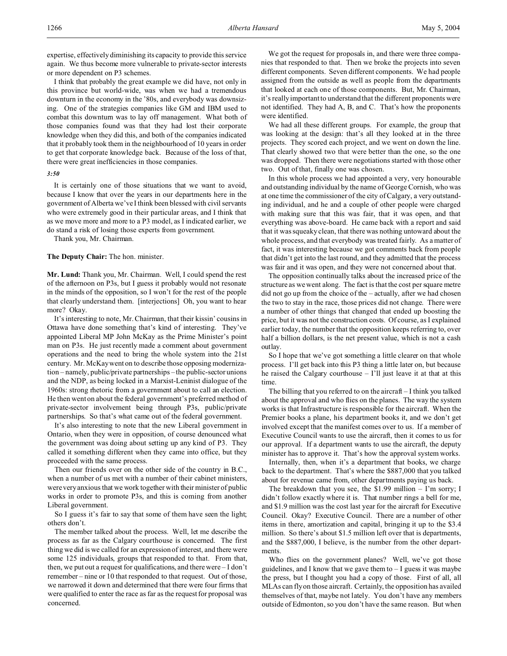expertise, effectively diminishing its capacity to provide this service again. We thus become more vulnerable to private-sector interests or more dependent on P3 schemes.

I think that probably the great example we did have, not only in this province but world-wide, was when we had a tremendous downturn in the economy in the '80s, and everybody was downsizing. One of the strategies companies like GM and IBM used to combat this downturn was to lay off management. What both of those companies found was that they had lost their corporate knowledge when they did this, and both of the companies indicated that it probably took them in the neighbourhood of 10 years in order to get that corporate knowledge back. Because of the loss of that, there were great inefficiencies in those companies.

### *3:50*

It is certainly one of those situations that we want to avoid, because I know that over the years in our departments here in the government of Alberta we've I think been blessed with civil servants who were extremely good in their particular areas, and I think that as we move more and more to a P3 model, as I indicated earlier, we do stand a risk of losing those experts from government.

Thank you, Mr. Chairman.

### **The Deputy Chair:** The hon. minister.

**Mr. Lund:** Thank you, Mr. Chairman. Well, I could spend the rest of the afternoon on P3s, but I guess it probably would not resonate in the minds of the opposition, so I won't for the rest of the people that clearly understand them. [interjections] Oh, you want to hear more? Okay.

It's interesting to note, Mr. Chairman, that their kissin' cousins in Ottawa have done something that's kind of interesting. They've appointed Liberal MP John McKay as the Prime Minister's point man on P3s. He just recently made a comment about government operations and the need to bring the whole system into the 21st century. Mr. McKay went on to describe those opposing modernization – namely, public/private partnerships – the public-sector unions and the NDP, as being locked in a Marxist-Leninist dialogue of the 1960s: strong rhetoric from a government about to call an election. He then went on about the federal government's preferred method of private-sector involvement being through P3s, public/private partnerships. So that's what came out of the federal government.

It's also interesting to note that the new Liberal government in Ontario, when they were in opposition, of course denounced what the government was doing about setting up any kind of P3. They called it something different when they came into office, but they proceeded with the same process.

Then our friends over on the other side of the country in B.C., when a number of us met with a number of their cabinet ministers, were very anxious that we work together with their minister of public works in order to promote P3s, and this is coming from another Liberal government.

So I guess it's fair to say that some of them have seen the light; others don't.

The member talked about the process. Well, let me describe the process as far as the Calgary courthouse is concerned. The first thing we did is we called for an expression of interest, and there were some 125 individuals, groups that responded to that. From that, then, we put out a request for qualifications, and there were – I don't remember – nine or 10 that responded to that request. Out of those, we narrowed it down and determined that there were four firms that were qualified to enter the race as far as the request for proposal was concerned.

We got the request for proposals in, and there were three companies that responded to that. Then we broke the projects into seven different components. Seven different components. We had people assigned from the outside as well as people from the departments that looked at each one of those components. But, Mr. Chairman, it's really important to understand that the different proponents were not identified. They had A, B, and C. That's how the proponents were identified.

We had all these different groups. For example, the group that was looking at the design: that's all they looked at in the three projects. They scored each project, and we went on down the line. That clearly showed two that were better than the one, so the one was dropped. Then there were negotiations started with those other two. Out of that, finally one was chosen.

In this whole process we had appointed a very, very honourable and outstanding individual by the name of George Cornish, who was at one time the commissioner of the city of Calgary, a very outstanding individual, and he and a couple of other people were charged with making sure that this was fair, that it was open, and that everything was above-board. He came back with a report and said that it was squeaky clean, that there was nothing untoward about the whole process, and that everybody was treated fairly. As a matter of fact, it was interesting because we got comments back from people that didn't get into the last round, and they admitted that the process was fair and it was open, and they were not concerned about that.

The opposition continually talks about the increased price of the structure as we went along. The fact is that the cost per square metre did not go up from the choice of the – actually, after we had chosen the two to stay in the race, those prices did not change. There were a number of other things that changed that ended up boosting the price, but it was not the construction costs. Of course, as I explained earlier today, the number that the opposition keeps referring to, over half a billion dollars, is the net present value, which is not a cash outlay.

So I hope that we've got something a little clearer on that whole process. I'll get back into this P3 thing a little later on, but because he raised the Calgary courthouse – I'll just leave it at that at this time.

The billing that you referred to on the aircraft – I think you talked about the approval and who flies on the planes. The way the system works is that Infrastructure is responsible for the aircraft. When the Premier books a plane, his department books it, and we don't get involved except that the manifest comes over to us. If a member of Executive Council wants to use the aircraft, then it comes to us for our approval. If a department wants to use the aircraft, the deputy minister has to approve it. That's how the approval system works.

Internally, then, when it's a department that books, we charge back to the department. That's where the \$887,000 that you talked about for revenue came from, other departments paying us back.

The breakdown that you see, the \$1.99 million – I'm sorry; I didn't follow exactly where it is. That number rings a bell for me, and \$1.9 million was the cost last year for the aircraft for Executive Council. Okay? Executive Council. There are a number of other items in there, amortization and capital, bringing it up to the \$3.4 million. So there's about \$1.5 million left over that is departments, and the \$887,000, I believe, is the number from the other departments.

Who flies on the government planes? Well, we've got those guidelines, and I know that we gave them to  $-$  I guess it was maybe the press, but I thought you had a copy of those. First of all, all MLAs can fly on those aircraft. Certainly, the opposition has availed themselves of that, maybe not lately. You don't have any members outside of Edmonton, so you don't have the same reason. But when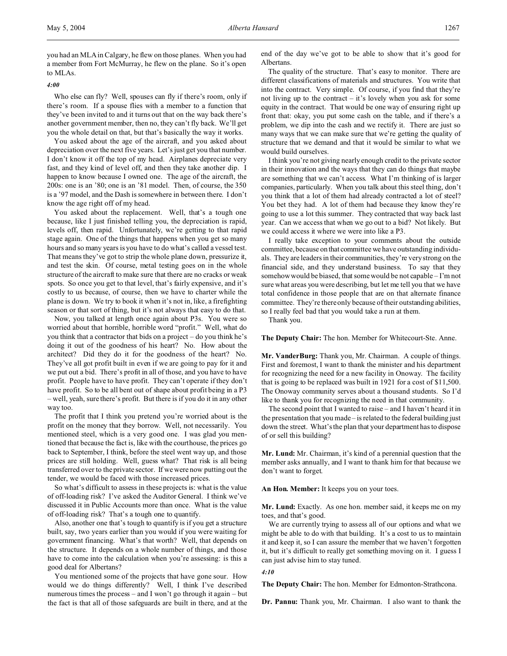you had an MLA in Calgary, he flew on those planes. When you had a member from Fort McMurray, he flew on the plane. So it's open to MLAs.

*4:00*

Who else can fly? Well, spouses can fly if there's room, only if there's room. If a spouse flies with a member to a function that they've been invited to and it turns out that on the way back there's another government member, then no, they can't fly back. We'll get you the whole detail on that, but that's basically the way it works.

You asked about the age of the aircraft, and you asked about depreciation over the next five years. Let's just get you that number. I don't know it off the top of my head. Airplanes depreciate very fast, and they kind of level off, and then they take another dip. I happen to know because I owned one. The age of the aircraft, the 200s: one is an '80; one is an '81 model. Then, of course, the 350 is a '97 model, and the Dash is somewhere in between there. I don't know the age right off of my head.

You asked about the replacement. Well, that's a tough one because, like I just finished telling you, the depreciation is rapid, levels off, then rapid. Unfortunately, we're getting to that rapid stage again. One of the things that happens when you get so many hours and so many years is you have to do what's called a vessel test. That means they've got to strip the whole plane down, pressurize it, and test the skin. Of course, metal testing goes on in the whole structure of the aircraft to make sure that there are no cracks or weak spots. So once you get to that level, that's fairly expensive, and it's costly to us because, of course, then we have to charter while the plane is down. We try to book it when it's not in, like, a firefighting season or that sort of thing, but it's not always that easy to do that.

Now, you talked at length once again about P3s. You were so worried about that horrible, horrible word "profit." Well, what do you think that a contractor that bids on a project – do you think he's doing it out of the goodness of his heart? No. How about the architect? Did they do it for the goodness of the heart? No. They've all got profit built in even if we are going to pay for it and we put out a bid. There's profit in all of those, and you have to have profit. People have to have profit. They can't operate if they don't have profit. So to be all bent out of shape about profit being in a P3 – well, yeah, sure there's profit. But there is if you do it in any other way too.

The profit that I think you pretend you're worried about is the profit on the money that they borrow. Well, not necessarily. You mentioned steel, which is a very good one. I was glad you mentioned that because the fact is, like with the courthouse, the prices go back to September, I think, before the steel went way up, and those prices are still holding. Well, guess what? That risk is all being transferred over to the private sector. If we were now putting out the tender, we would be faced with those increased prices.

So what's difficult to assess in these projects is: what is the value of off-loading risk? I've asked the Auditor General. I think we've discussed it in Public Accounts more than once. What is the value of off-loading risk? That's a tough one to quantify.

Also, another one that's tough to quantify is if you get a structure built, say, two years earlier than you would if you were waiting for government financing. What's that worth? Well, that depends on the structure. It depends on a whole number of things, and those have to come into the calculation when you're assessing: is this a good deal for Albertans?

You mentioned some of the projects that have gone sour. How would we do things differently? Well, I think I've described numerous times the process – and I won't go through it again – but the fact is that all of those safeguards are built in there, and at the end of the day we've got to be able to show that it's good for Albertans.

The quality of the structure. That's easy to monitor. There are different classifications of materials and structures. You write that into the contract. Very simple. Of course, if you find that they're not living up to the contract – it's lovely when you ask for some equity in the contract. That would be one way of ensuring right up front that: okay, you put some cash on the table, and if there's a problem, we dip into the cash and we rectify it. There are just so many ways that we can make sure that we're getting the quality of structure that we demand and that it would be similar to what we would build ourselves.

I think you're not giving nearly enough credit to the private sector in their innovation and the ways that they can do things that maybe are something that we can't access. What I'm thinking of is larger companies, particularly. When you talk about this steel thing, don't you think that a lot of them had already contracted a lot of steel? You bet they had. A lot of them had because they know they're going to use a lot this summer. They contracted that way back last year. Can we access that when we go out to a bid? Not likely. But we could access it where we were into like a P3.

I really take exception to your comments about the outside committee, because on that committee we have outstanding individuals. They are leaders in their communities, they're very strong on the financial side, and they understand business. To say that they somehow would be biased, that some would be not capable – I'm not sure what areas you were describing, but let me tell you that we have total confidence in those people that are on that alternate finance committee. They're there only because of their outstanding abilities, so I really feel bad that you would take a run at them.

Thank you.

**The Deputy Chair:** The hon. Member for Whitecourt-Ste. Anne.

**Mr. VanderBurg:** Thank you, Mr. Chairman. A couple of things. First and foremost, I want to thank the minister and his department for recognizing the need for a new facility in Onoway. The facility that is going to be replaced was built in 1921 for a cost of \$11,500. The Onoway community serves about a thousand students. So I'd like to thank you for recognizing the need in that community.

The second point that I wanted to raise – and I haven't heard it in the presentation that you made – is related to the federal building just down the street. What's the plan that your department has to dispose of or sell this building?

**Mr. Lund:** Mr. Chairman, it's kind of a perennial question that the member asks annually, and I want to thank him for that because we don't want to forget.

**An Hon. Member:** It keeps you on your toes.

**Mr. Lund:** Exactly. As one hon. member said, it keeps me on my toes, and that's good.

We are currently trying to assess all of our options and what we might be able to do with that building. It's a cost to us to maintain it and keep it, so I can assure the member that we haven't forgotten it, but it's difficult to really get something moving on it. I guess I can just advise him to stay tuned.

*4:10*

**The Deputy Chair:** The hon. Member for Edmonton-Strathcona.

**Dr. Pannu:** Thank you, Mr. Chairman. I also want to thank the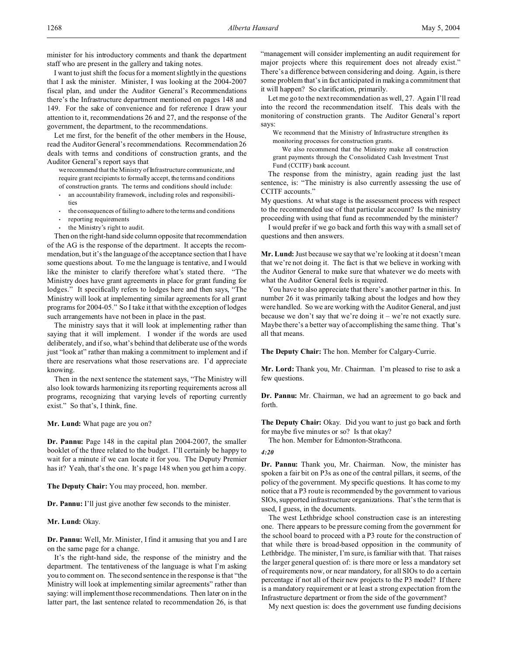I want to just shift the focus for a moment slightly in the questions that I ask the minister. Minister, I was looking at the 2004-2007 fiscal plan, and under the Auditor General's Recommendations there's the Infrastructure department mentioned on pages 148 and 149. For the sake of convenience and for reference I draw your attention to it, recommendations 26 and 27, and the response of the government, the department, to the recommendations.

Let me first, for the benefit of the other members in the House, read the Auditor General's recommendations. Recommendation 26 deals with terms and conditions of construction grants, and the Auditor General's report says that

we recommend that the Ministry of Infrastructure communicate, and require grant recipients to formally accept, the terms and conditions of construction grants. The terms and conditions should include:

- an accountability framework, including roles and responsibilities
- the consequences of failing to adhere to the terms and conditions
- reporting requirements
- the Ministry's right to audit.

Then on the right-hand side column opposite that recommendation of the AG is the response of the department. It accepts the recommendation, but it's the language of the acceptance section that I have some questions about. To me the language is tentative, and I would like the minister to clarify therefore what's stated there. "The Ministry does have grant agreements in place for grant funding for lodges." It specifically refers to lodges here and then says, "The Ministry will look at implementing similar agreements for all grant programs for 2004-05." So I take it that with the exception of lodges such arrangements have not been in place in the past.

The ministry says that it will look at implementing rather than saying that it will implement. I wonder if the words are used deliberately, and if so, what's behind that deliberate use of the words just "look at" rather than making a commitment to implement and if there are reservations what those reservations are. I'd appreciate knowing.

Then in the next sentence the statement says, "The Ministry will also look towards harmonizing its reporting requirements across all programs, recognizing that varying levels of reporting currently exist." So that's, I think, fine.

# **Mr. Lund:** What page are you on?

**Dr. Pannu:** Page 148 in the capital plan 2004-2007, the smaller booklet of the three related to the budget. I'll certainly be happy to wait for a minute if we can locate it for you. The Deputy Premier has it? Yeah, that's the one. It's page 148 when you get him a copy.

**The Deputy Chair:** You may proceed, hon. member.

**Dr. Pannu:** I'll just give another few seconds to the minister.

**Mr. Lund:** Okay.

**Dr. Pannu:** Well, Mr. Minister, I find it amusing that you and I are on the same page for a change.

It's the right-hand side, the response of the ministry and the department. The tentativeness of the language is what I'm asking you to comment on. The second sentence in the response is that "the Ministry will look at implementing similar agreements" rather than saying: will implement those recommendations. Then later on in the latter part, the last sentence related to recommendation 26, is that

"management will consider implementing an audit requirement for major projects where this requirement does not already exist." There's a difference between considering and doing. Again, is there some problem that's in fact anticipated in making a commitment that it will happen? So clarification, primarily.

Let me go to the next recommendation as well, 27. Again I'll read into the record the recommendation itself. This deals with the monitoring of construction grants. The Auditor General's report says:

We recommend that the Ministry of Infrastructure strengthen its monitoring processes for construction grants.

We also recommend that the Ministry make all construction grant payments through the Consolidated Cash Investment Trust Fund (CCITF) bank account.

The response from the ministry, again reading just the last sentence, is: "The ministry is also currently assessing the use of CCITF accounts."

My questions. At what stage is the assessment process with respect to the recommended use of that particular account? Is the ministry proceeding with using that fund as recommended by the minister?

I would prefer if we go back and forth this way with a small set of questions and then answers.

**Mr. Lund:** Just because we say that we're looking at it doesn't mean that we're not doing it. The fact is that we believe in working with the Auditor General to make sure that whatever we do meets with what the Auditor General feels is required.

You have to also appreciate that there's another partner in this. In number 26 it was primarily talking about the lodges and how they were handled. So we are working with the Auditor General, and just because we don't say that we're doing it – we're not exactly sure. Maybe there's a better way of accomplishing the same thing. That's all that means.

**The Deputy Chair:** The hon. Member for Calgary-Currie.

**Mr. Lord:** Thank you, Mr. Chairman. I'm pleased to rise to ask a few questions.

**Dr. Pannu:** Mr. Chairman, we had an agreement to go back and forth.

**The Deputy Chair:** Okay. Did you want to just go back and forth for maybe five minutes or so? Is that okay?

The hon. Member for Edmonton-Strathcona.

# *4:20*

**Dr. Pannu:** Thank you, Mr. Chairman. Now, the minister has spoken a fair bit on P3s as one of the central pillars, it seems, of the policy of the government. My specific questions. It has come to my notice that a P3 route is recommended by the government to various SIOs, supported infrastructure organizations. That's the term that is used, I guess, in the documents.

The west Lethbridge school construction case is an interesting one. There appears to be pressure coming from the government for the school board to proceed with a P3 route for the construction of that while there is broad-based opposition in the community of Lethbridge. The minister, I'm sure, is familiar with that. That raises the larger general question of: is there more or less a mandatory set of requirements now, or near mandatory, for all SIOs to do a certain percentage if not all of their new projects to the P3 model? If there is a mandatory requirement or at least a strong expectation from the Infrastructure department or from the side of the government?

My next question is: does the government use funding decisions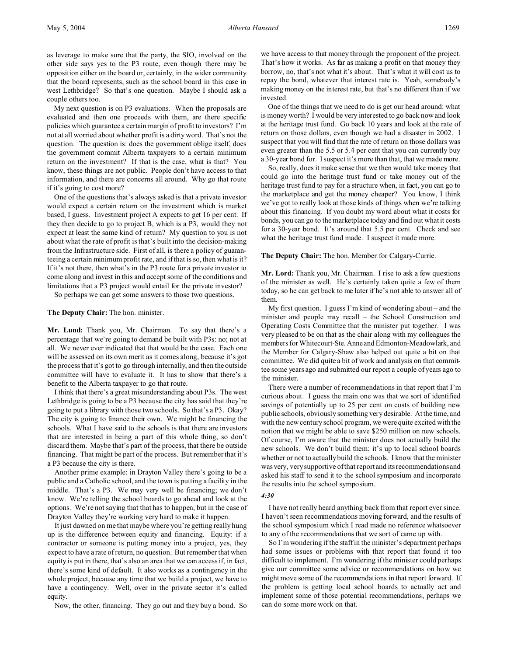as leverage to make sure that the party, the SIO, involved on the other side says yes to the P3 route, even though there may be opposition either on the board or, certainly, in the wider community that the board represents, such as the school board in this case in west Lethbridge? So that's one question. Maybe I should ask a couple others too.

My next question is on P3 evaluations. When the proposals are evaluated and then one proceeds with them, are there specific policies which guarantee a certain margin of profit to investors? I'm not at all worried about whether profit is a dirty word. That's not the question. The question is: does the government oblige itself, does the government commit Alberta taxpayers to a certain minimum return on the investment? If that is the case, what is that? You know, these things are not public. People don't have access to that information, and there are concerns all around. Why go that route if it's going to cost more?

One of the questions that's always asked is that a private investor would expect a certain return on the investment which is market based, I guess. Investment project A expects to get 16 per cent. If they then decide to go to project B, which is a P3, would they not expect at least the same kind of return? My question to you is not about what the rate of profit is that's built into the decision-making from the Infrastructure side. First of all, is there a policy of guaranteeing a certain minimum profit rate, and if that is so, then what is it? If it's not there, then what's in the P3 route for a private investor to come along and invest in this and accept some of the conditions and limitations that a P3 project would entail for the private investor?

So perhaps we can get some answers to those two questions.

**The Deputy Chair:** The hon. minister.

**Mr. Lund:** Thank you, Mr. Chairman. To say that there's a percentage that we're going to demand be built with P3s: no; not at all. We never ever indicated that that would be the case. Each one will be assessed on its own merit as it comes along, because it's got the process that it's got to go through internally, and then the outside committee will have to evaluate it. It has to show that there's a benefit to the Alberta taxpayer to go that route.

I think that there's a great misunderstanding about P3s. The west Lethbridge is going to be a P3 because the city has said that they're going to put a library with those two schools. So that's a P3. Okay? The city is going to finance their own. We might be financing the schools. What I have said to the schools is that there are investors that are interested in being a part of this whole thing, so don't discard them. Maybe that's part of the process, that there be outside financing. That might be part of the process. But remember that it's a P3 because the city is there.

Another prime example: in Drayton Valley there's going to be a public and a Catholic school, and the town is putting a facility in the middle. That's a P3. We may very well be financing; we don't know. We're telling the school boards to go ahead and look at the options. We're not saying that that has to happen, but in the case of Drayton Valley they're working very hard to make it happen.

It just dawned on me that maybe where you're getting really hung up is the difference between equity and financing. Equity: if a contractor or someone is putting money into a project, yes, they expect to have a rate of return, no question. But remember that when equity is put in there, that's also an area that we can access if, in fact, there's some kind of default. It also works as a contingency in the whole project, because any time that we build a project, we have to have a contingency. Well, over in the private sector it's called equity.

Now, the other, financing. They go out and they buy a bond. So

we have access to that money through the proponent of the project. That's how it works. As far as making a profit on that money they borrow, no, that's not what it's about. That's what it will cost us to repay the bond, whatever that interest rate is. Yeah, somebody's making money on the interest rate, but that's no different than if we invested.

One of the things that we need to do is get our head around: what is money worth? I would be very interested to go back now and look at the heritage trust fund. Go back 10 years and look at the rate of return on those dollars, even though we had a disaster in 2002. I suspect that you will find that the rate of return on those dollars was even greater than the 5.5 or 5.4 per cent that you can currently buy a 30-year bond for. I suspect it's more than that, that we made more.

So, really, does it make sense that we then would take money that could go into the heritage trust fund or take money out of the heritage trust fund to pay for a structure when, in fact, you can go to the marketplace and get the money cheaper? You know, I think we've got to really look at those kinds of things when we're talking about this financing. If you doubt my word about what it costs for bonds, you can go to the marketplace today and find out what it costs for a 30-year bond. It's around that 5.5 per cent. Check and see what the heritage trust fund made. I suspect it made more.

**The Deputy Chair:** The hon. Member for Calgary-Currie.

**Mr. Lord:** Thank you, Mr. Chairman. I rise to ask a few questions of the minister as well. He's certainly taken quite a few of them today, so he can get back to me later if he's not able to answer all of them.

My first question. I guess I'm kind of wondering about – and the minister and people may recall – the School Construction and Operating Costs Committee that the minister put together. I was very pleased to be on that as the chair along with my colleagues the members for Whitecourt-Ste. Anne and Edmonton-Meadowlark, and the Member for Calgary-Shaw also helped out quite a bit on that committee. We did quite a bit of work and analysis on that committee some years ago and submitted our report a couple of years ago to the minister.

There were a number of recommendations in that report that I'm curious about. I guess the main one was that we sort of identified savings of potentially up to 25 per cent on costs of building new public schools, obviously something very desirable. At the time, and with the new century school program, we were quite excited with the notion that we might be able to save \$250 million on new schools. Of course, I'm aware that the minister does not actually build the new schools. We don't build them; it's up to local school boards whether or not to actually build the schools. I know that the minister was very, very supportive of that report and its recommendations and asked his staff to send it to the school symposium and incorporate the results into the school symposium.

# *4:30*

I have not really heard anything back from that report ever since. I haven't seen recommendations moving forward, and the results of the school symposium which I read made no reference whatsoever to any of the recommendations that we sort of came up with.

So I'm wondering if the staff in the minister's department perhaps had some issues or problems with that report that found it too difficult to implement. I'm wondering if the minister could perhaps give our committee some advice or recommendations on how we might move some of the recommendations in that report forward. If the problem is getting local school boards to actually act and implement some of those potential recommendations, perhaps we can do some more work on that.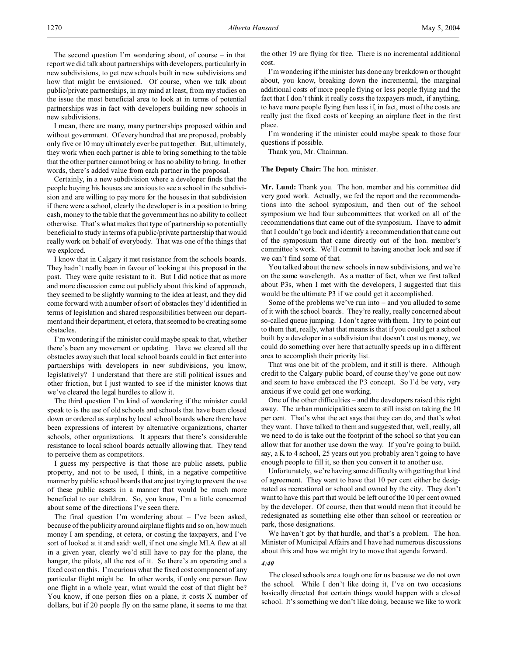The second question I'm wondering about, of course – in that report we did talk about partnerships with developers, particularly in new subdivisions, to get new schools built in new subdivisions and how that might be envisioned. Of course, when we talk about public/private partnerships, in my mind at least, from my studies on the issue the most beneficial area to look at in terms of potential partnerships was in fact with developers building new schools in new subdivisions.

I mean, there are many, many partnerships proposed within and without government. Of every hundred that are proposed, probably only five or 10 may ultimately ever be put together. But, ultimately, they work when each partner is able to bring something to the table that the other partner cannot bring or has no ability to bring. In other words, there's added value from each partner in the proposal.

Certainly, in a new subdivision where a developer finds that the people buying his houses are anxious to see a school in the subdivision and are willing to pay more for the houses in that subdivision if there were a school, clearly the developer is in a position to bring cash, money to the table that the government has no ability to collect otherwise. That's what makes that type of partnership so potentially beneficial to study in terms of a public/private partnership that would really work on behalf of everybody. That was one of the things that we explored.

I know that in Calgary it met resistance from the schools boards. They hadn't really been in favour of looking at this proposal in the past. They were quite resistant to it. But I did notice that as more and more discussion came out publicly about this kind of approach, they seemed to be slightly warming to the idea at least, and they did come forward with a number of sort of obstacles they'd identified in terms of legislation and shared responsibilities between our department and their department, et cetera, that seemed to be creating some obstacles.

I'm wondering if the minister could maybe speak to that, whether there's been any movement or updating. Have we cleared all the obstacles away such that local school boards could in fact enter into partnerships with developers in new subdivisions, you know, legislatively? I understand that there are still political issues and other friction, but I just wanted to see if the minister knows that we've cleared the legal hurdles to allow it.

The third question I'm kind of wondering if the minister could speak to is the use of old schools and schools that have been closed down or ordered as surplus by local school boards where there have been expressions of interest by alternative organizations, charter schools, other organizations. It appears that there's considerable resistance to local school boards actually allowing that. They tend to perceive them as competitors.

I guess my perspective is that those are public assets, public property, and not to be used, I think, in a negative competitive manner by public school boards that are just trying to prevent the use of these public assets in a manner that would be much more beneficial to our children. So, you know, I'm a little concerned about some of the directions I've seen there.

The final question I'm wondering about – I've been asked, because of the publicity around airplane flights and so on, how much money I am spending, et cetera, or costing the taxpayers, and I've sort of looked at it and said: well, if not one single MLA flew at all in a given year, clearly we'd still have to pay for the plane, the hangar, the pilots, all the rest of it. So there's an operating and a fixed cost on this. I'm curious what the fixed cost component of any particular flight might be. In other words, if only one person flew one flight in a whole year, what would the cost of that flight be? You know, if one person flies on a plane, it costs X number of dollars, but if 20 people fly on the same plane, it seems to me that

the other 19 are flying for free. There is no incremental additional cost.

I'm wondering if the minister has done any breakdown or thought about, you know, breaking down the incremental, the marginal additional costs of more people flying or less people flying and the fact that I don't think it really costs the taxpayers much, if anything, to have more people flying then less if, in fact, most of the costs are really just the fixed costs of keeping an airplane fleet in the first place.

I'm wondering if the minister could maybe speak to those four questions if possible.

Thank you, Mr. Chairman.

# **The Deputy Chair:** The hon. minister.

**Mr. Lund:** Thank you. The hon. member and his committee did very good work. Actually, we fed the report and the recommendations into the school symposium, and then out of the school symposium we had four subcommittees that worked on all of the recommendations that came out of the symposium. I have to admit that I couldn't go back and identify a recommendation that came out of the symposium that came directly out of the hon. member's committee's work. We'll commit to having another look and see if we can't find some of that.

You talked about the new schools in new subdivisions, and we're on the same wavelength. As a matter of fact, when we first talked about P3s, when I met with the developers, I suggested that this would be the ultimate P3 if we could get it accomplished.

Some of the problems we've run into – and you alluded to some of it with the school boards. They're really, really concerned about so-called queue jumping. I don't agree with them. I try to point out to them that, really, what that means is that if you could get a school built by a developer in a subdivision that doesn't cost us money, we could do something over here that actually speeds up in a different area to accomplish their priority list.

That was one bit of the problem, and it still is there. Although credit to the Calgary public board, of course they've gone out now and seem to have embraced the P3 concept. So I'd be very, very anxious if we could get one working.

One of the other difficulties – and the developers raised this right away. The urban municipalities seem to still insist on taking the 10 per cent. That's what the act says that they can do, and that's what they want. I have talked to them and suggested that, well, really, all we need to do is take out the footprint of the school so that you can allow that for another use down the way. If you're going to build, say, a K to 4 school, 25 years out you probably aren't going to have enough people to fill it, so then you convert it to another use.

Unfortunately, we're having some difficulty with getting that kind of agreement. They want to have that 10 per cent either be designated as recreational or school and owned by the city. They don't want to have this part that would be left out of the 10 per cent owned by the developer. Of course, then that would mean that it could be redesignated as something else other than school or recreation or park, those designations.

We haven't got by that hurdle, and that's a problem. The hon. Minister of Municipal Affairs and I have had numerous discussions about this and how we might try to move that agenda forward.

#### *4:40*

The closed schools are a tough one for us because we do not own the school. While I don't like doing it, I've on two occasions basically directed that certain things would happen with a closed school. It's something we don't like doing, because we like to work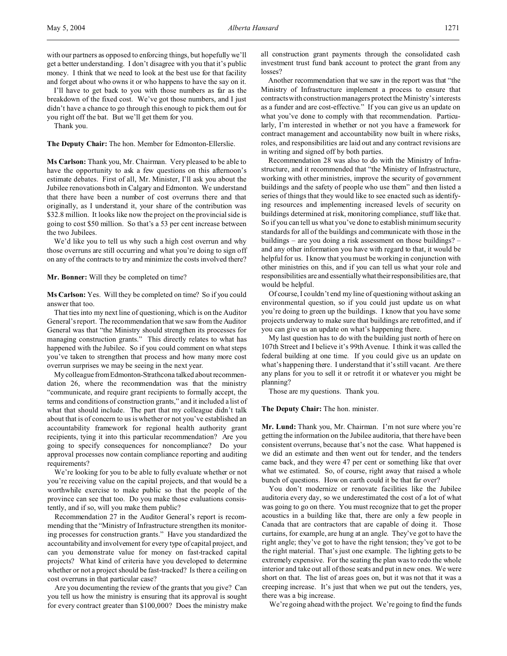I'll have to get back to you with those numbers as far as the breakdown of the fixed cost. We've got those numbers, and I just didn't have a chance to go through this enough to pick them out for you right off the bat. But we'll get them for you.

Thank you.

**The Deputy Chair:** The hon. Member for Edmonton-Ellerslie.

**Ms Carlson:** Thank you, Mr. Chairman. Very pleased to be able to have the opportunity to ask a few questions on this afternoon's estimate debates. First of all, Mr. Minister, I'll ask you about the Jubilee renovations both in Calgary and Edmonton. We understand that there have been a number of cost overruns there and that originally, as I understand it, your share of the contribution was \$32.8 million. It looks like now the project on the provincial side is going to cost \$50 million. So that's a 53 per cent increase between the two Jubilees.

We'd like you to tell us why such a high cost overrun and why those overruns are still occurring and what you're doing to sign off on any of the contracts to try and minimize the costs involved there?

# **Mr. Bonner:** Will they be completed on time?

**Ms Carlson:** Yes. Will they be completed on time? So if you could answer that too.

That ties into my next line of questioning, which is on the Auditor General's report. The recommendation that we saw from the Auditor General was that "the Ministry should strengthen its processes for managing construction grants." This directly relates to what has happened with the Jubilee. So if you could comment on what steps you've taken to strengthen that process and how many more cost overrun surprises we may be seeing in the next year.

My colleague fromEdmonton-Strathcona talked about recommendation 26, where the recommendation was that the ministry "communicate, and require grant recipients to formally accept, the terms and conditions of construction grants," and it included a list of what that should include. The part that my colleague didn't talk about that is of concern to us is whether or not you've established an accountability framework for regional health authority grant recipients, tying it into this particular recommendation? Are you going to specify consequences for noncompliance? Do your approval processes now contain compliance reporting and auditing requirements?

We're looking for you to be able to fully evaluate whether or not you're receiving value on the capital projects, and that would be a worthwhile exercise to make public so that the people of the province can see that too. Do you make those evaluations consistently, and if so, will you make them public?

Recommendation 27 in the Auditor General's report is recommending that the "Ministry of Infrastructure strengthen its monitoring processes for construction grants." Have you standardized the accountability and involvement for every type of capital project, and can you demonstrate value for money on fast-tracked capital projects? What kind of criteria have you developed to determine whether or not a project should be fast-tracked? Is there a ceiling on cost overruns in that particular case?

Are you documenting the review of the grants that you give? Can you tell us how the ministry is ensuring that its approval is sought for every contract greater than \$100,000? Does the ministry make all construction grant payments through the consolidated cash investment trust fund bank account to protect the grant from any losses?

Another recommendation that we saw in the report was that "the Ministry of Infrastructure implement a process to ensure that contracts with construction managers protect the Ministry's interests as a funder and are cost-effective." If you can give us an update on what you've done to comply with that recommendation. Particularly, I'm interested in whether or not you have a framework for contract management and accountability now built in where risks, roles, and responsibilities are laid out and any contract revisions are in writing and signed off by both parties.

Recommendation 28 was also to do with the Ministry of Infrastructure, and it recommended that "the Ministry of Infrastructure, working with other ministries, improve the security of government buildings and the safety of people who use them" and then listed a series of things that they would like to see enacted such as identifying resources and implementing increased levels of security on buildings determined at risk, monitoring compliance, stuff like that. So if you can tell us what you've done to establish minimum security standards for all of the buildings and communicate with those in the buildings – are you doing a risk assessment on those buildings? – and any other information you have with regard to that, it would be helpful for us. I know that you must be working in conjunction with other ministries on this, and if you can tell us what your role and responsibilities are and essentiallywhattheirresponsibilities are, that would be helpful.

Of course, I couldn't end my line of questioning without asking an environmental question, so if you could just update us on what you're doing to green up the buildings. I know that you have some projects underway to make sure that buildings are retrofitted, and if you can give us an update on what's happening there.

My last question has to do with the building just north of here on 107th Street and I believe it's 99th Avenue. I think it was called the federal building at one time. If you could give us an update on what's happening there. I understand that it's still vacant. Are there any plans for you to sell it or retrofit it or whatever you might be planning?

Those are my questions. Thank you.

# **The Deputy Chair:** The hon. minister.

**Mr. Lund:** Thank you, Mr. Chairman. I'm not sure where you're getting the information on the Jubilee auditoria, that there have been consistent overruns, because that's not the case. What happened is we did an estimate and then went out for tender, and the tenders came back, and they were 47 per cent or something like that over what we estimated. So, of course, right away that raised a whole bunch of questions. How on earth could it be that far over?

You don't modernize or renovate facilities like the Jubilee auditoria every day, so we underestimated the cost of a lot of what was going to go on there. You must recognize that to get the proper acoustics in a building like that, there are only a few people in Canada that are contractors that are capable of doing it. Those curtains, for example, are hung at an angle. They've got to have the right angle; they've got to have the right tension; they've got to be the right material. That's just one example. The lighting gets to be extremely expensive. For the seating the plan was to redo the whole interior and take out all of those seats and put in new ones. We were short on that. The list of areas goes on, but it was not that it was a creeping increase. It's just that when we put out the tenders, yes, there was a big increase.

We're going ahead with the project. We're going to find the funds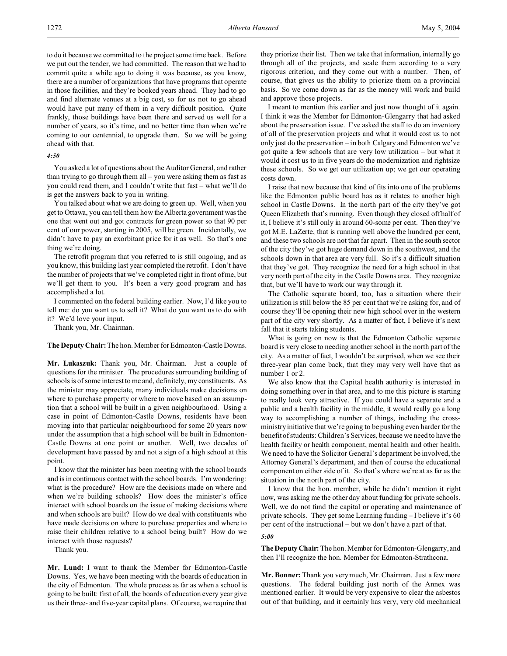to do it because we committed to the project some time back. Before we put out the tender, we had committed. The reason that we had to commit quite a while ago to doing it was because, as you know, there are a number of organizations that have programs that operate in those facilities, and they're booked years ahead. They had to go and find alternate venues at a big cost, so for us not to go ahead would have put many of them in a very difficult position. Quite frankly, those buildings have been there and served us well for a number of years, so it's time, and no better time than when we're coming to our centennial, to upgrade them. So we will be going ahead with that.

### *4:50*

You asked a lot of questions about the Auditor General, and rather than trying to go through them all – you were asking them as fast as you could read them, and I couldn't write that fast – what we'll do is get the answers back to you in writing.

You talked about what we are doing to green up. Well, when you get to Ottawa, you can tell them how the Alberta government was the one that went out and got contracts for green power so that 90 per cent of our power, starting in 2005, will be green. Incidentally, we didn't have to pay an exorbitant price for it as well. So that's one thing we're doing.

The retrofit program that you referred to is still ongoing, and as you know, this building last year completed the retrofit. I don't have the number of projects that we've completed right in front of me, but we'll get them to you. It's been a very good program and has accomplished a lot.

I commented on the federal building earlier. Now, I'd like you to tell me: do you want us to sell it? What do you want us to do with it? We'd love your input.

Thank you, Mr. Chairman.

**The Deputy Chair:**The hon. Member for Edmonton-Castle Downs.

**Mr. Lukaszuk:** Thank you, Mr. Chairman. Just a couple of questions for the minister. The procedures surrounding building of schools is of some interest to me and, definitely, my constituents. As the minister may appreciate, many individuals make decisions on where to purchase property or where to move based on an assumption that a school will be built in a given neighbourhood. Using a case in point of Edmonton-Castle Downs, residents have been moving into that particular neighbourhood for some 20 years now under the assumption that a high school will be built in Edmonton-Castle Downs at one point or another. Well, two decades of development have passed by and not a sign of a high school at this point.

I know that the minister has been meeting with the school boards and is in continuous contact with the school boards. I'm wondering: what is the procedure? How are the decisions made on where and when we're building schools? How does the minister's office interact with school boards on the issue of making decisions where and when schools are built? How do we deal with constituents who have made decisions on where to purchase properties and where to raise their children relative to a school being built? How do we interact with those requests?

Thank you.

**Mr. Lund:** I want to thank the Member for Edmonton-Castle Downs. Yes, we have been meeting with the boards of education in the city of Edmonton. The whole process as far as when a school is going to be built: first of all, the boards of education every year give us their three- and five-year capital plans. Of course, we require that they priorize their list. Then we take that information, internally go through all of the projects, and scale them according to a very rigorous criterion, and they come out with a number. Then, of course, that gives us the ability to priorize them on a provincial basis. So we come down as far as the money will work and build and approve those projects.

I meant to mention this earlier and just now thought of it again. I think it was the Member for Edmonton-Glengarry that had asked about the preservation issue. I've asked the staff to do an inventory of all of the preservation projects and what it would cost us to not only just do the preservation – in both Calgary and Edmonton we've got quite a few schools that are very low utilization – but what it would it cost us to in five years do the modernization and rightsize these schools. So we get our utilization up; we get our operating costs down.

I raise that now because that kind of fits into one of the problems like the Edmonton public board has as it relates to another high school in Castle Downs. In the north part of the city they've got Queen Elizabeth that's running. Even though they closed off half of it, I believe it's still only in around 60-some per cent. Then they've got M.E. LaZerte, that is running well above the hundred per cent, and these two schools are not that far apart. Then in the south sector of the city they've got huge demand down in the southwest, and the schools down in that area are very full. So it's a difficult situation that they've got. They recognize the need for a high school in that very north part of the city in the Castle Downs area. They recognize that, but we'll have to work our way through it.

The Catholic separate board, too, has a situation where their utilization is still below the 85 per cent that we're asking for, and of course they'll be opening their new high school over in the western part of the city very shortly. As a matter of fact, I believe it's next fall that it starts taking students.

What is going on now is that the Edmonton Catholic separate board is very close to needing another school in the north part of the city. As a matter of fact, I wouldn't be surprised, when we see their three-year plan come back, that they may very well have that as number 1 or 2.

We also know that the Capital health authority is interested in doing something over in that area, and to me this picture is starting to really look very attractive. If you could have a separate and a public and a health facility in the middle, it would really go a long way to accomplishing a number of things, including the crossministry initiative that we're going to be pushing even harder for the benefit of students: Children's Services, because we need to have the health facility or health component, mental health and other health. We need to have the Solicitor General's department be involved, the Attorney General's department, and then of course the educational component on either side of it. So that's where we're at as far as the situation in the north part of the city.

I know that the hon. member, while he didn't mention it right now, was asking me the other day about funding for private schools. Well, we do not fund the capital or operating and maintenance of private schools. They get some Learning funding – I believe it's 60 per cent of the instructional – but we don't have a part of that.

*5:00*

**The Deputy Chair:** The hon. Member for Edmonton-Glengarry, and then I'll recognize the hon. Member for Edmonton-Strathcona.

**Mr. Bonner:** Thank you very much, Mr. Chairman. Just a few more questions. The federal building just north of the Annex was mentioned earlier. It would be very expensive to clear the asbestos out of that building, and it certainly has very, very old mechanical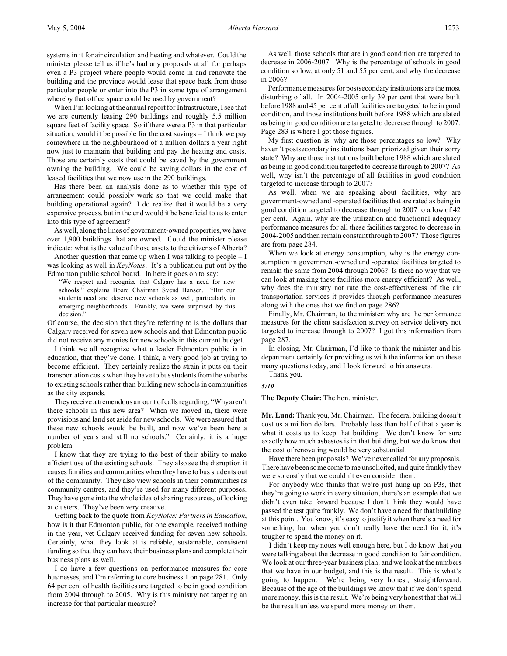systems in it for air circulation and heating and whatever. Could the minister please tell us if he's had any proposals at all for perhaps even a P3 project where people would come in and renovate the building and the province would lease that space back from those particular people or enter into the P3 in some type of arrangement whereby that office space could be used by government?

When I'm looking at the annual report for Infrastructure, I see that we are currently leasing 290 buildings and roughly 5.5 million square feet of facility space. So if there were a P3 in that particular situation, would it be possible for the cost savings – I think we pay somewhere in the neighbourhood of a million dollars a year right now just to maintain that building and pay the heating and costs. Those are certainly costs that could be saved by the government owning the building. We could be saving dollars in the cost of leased facilities that we now use in the 290 buildings.

Has there been an analysis done as to whether this type of arrangement could possibly work so that we could make that building operational again? I do realize that it would be a very expensive process, but in the end would it be beneficial to us to enter into this type of agreement?

As well, along the lines of government-owned properties, we have over 1,900 buildings that are owned. Could the minister please indicate: what is the value of those assets to the citizens of Alberta?

Another question that came up when I was talking to people  $-1$ was looking as well in *KeyNotes*. It's a publication put out by the Edmonton public school board. In here it goes on to say:

"We respect and recognize that Calgary has a need for new schools," explains Board Chairman Svend Hansen. "But our students need and deserve new schools as well, particularly in emerging neighborhoods. Frankly, we were surprised by this decision."

Of course, the decision that they're referring to is the dollars that Calgary received for seven new schools and that Edmonton public did not receive any monies for new schools in this current budget.

I think we all recognize what a leader Edmonton public is in education, that they've done, I think, a very good job at trying to become efficient. They certainly realize the strain it puts on their transportation costs when they have to bus students from the suburbs to existing schools rather than building new schools in communities as the city expands.

They receive a tremendous amount of calls regarding: "Why aren't there schools in this new area? When we moved in, there were provisions and land set aside for new schools. We were assured that these new schools would be built, and now we've been here a number of years and still no schools." Certainly, it is a huge problem.

I know that they are trying to the best of their ability to make efficient use of the existing schools. They also see the disruption it causes families and communities when they have to bus students out of the community. They also view schools in their communities as community centres, and they're used for many different purposes. They have gone into the whole idea of sharing resources, of looking at clusters. They've been very creative.

Getting back to the quote from *KeyNotes: Partners in Education*, how is it that Edmonton public, for one example, received nothing in the year, yet Calgary received funding for seven new schools. Certainly, what they look at is reliable, sustainable, consistent funding so that they can have their business plans and complete their business plans as well.

I do have a few questions on performance measures for core businesses, and I'm referring to core business 1 on page 281. Only 64 per cent of health facilities are targeted to be in good condition from 2004 through to 2005. Why is this ministry not targeting an increase for that particular measure?

As well, those schools that are in good condition are targeted to decrease in 2006-2007. Why is the percentage of schools in good condition so low, at only 51 and 55 per cent, and why the decrease in 2006?

Performance measures for postsecondary institutions are the most disturbing of all. In 2004-2005 only 39 per cent that were built before 1988 and 45 per cent of all facilities are targeted to be in good condition, and those institutions built before 1988 which are slated as being in good condition are targeted to decrease through to 2007. Page 283 is where I got those figures.

My first question is: why are those percentages so low? Why haven't postsecondary institutions been priorized given their sorry state? Why are those institutions built before 1988 which are slated as being in good condition targeted to decrease through to 2007? As well, why isn't the percentage of all facilities in good condition targeted to increase through to 2007?

As well, when we are speaking about facilities, why are government-owned and -operated facilities that are rated as being in good condition targeted to decrease through to 2007 to a low of 42 per cent. Again, why are the utilization and functional adequacy performance measures for all these facilities targeted to decrease in 2004-2005 and then remain constant through to 2007? Those figures are from page 284.

When we look at energy consumption, why is the energy consumption in government-owned and -operated facilities targeted to remain the same from 2004 through 2006? Is there no way that we can look at making these facilities more energy efficient? As well, why does the ministry not rate the cost-effectiveness of the air transportation services it provides through performance measures along with the ones that we find on page 286?

Finally, Mr. Chairman, to the minister: why are the performance measures for the client satisfaction survey on service delivery not targeted to increase through to 2007? I got this information from page 287.

In closing, Mr. Chairman, I'd like to thank the minister and his department certainly for providing us with the information on these many questions today, and I look forward to his answers.

Thank you.

*5:10*

**The Deputy Chair:** The hon. minister.

**Mr. Lund:** Thank you, Mr. Chairman. The federal building doesn't cost us a million dollars. Probably less than half of that a year is what it costs us to keep that building. We don't know for sure exactly how much asbestos is in that building, but we do know that the cost of renovating would be very substantial.

Have there been proposals? We've never called for any proposals. There have been some come to me unsolicited, and quite frankly they were so costly that we couldn't even consider them.

For anybody who thinks that we're just hung up on P3s, that they're going to work in every situation, there's an example that we didn't even take forward because I don't think they would have passed the test quite frankly. We don't have a need for that building at this point. You know, it's easy to justify it when there's a need for something, but when you don't really have the need for it, it's tougher to spend the money on it.

I didn't keep my notes well enough here, but I do know that you were talking about the decrease in good condition to fair condition. We look at our three-year business plan, and we look at the numbers that we have in our budget, and this is the result. This is what's going to happen. We're being very honest, straightforward. Because of the age of the buildings we know that if we don't spend more money, this is the result. We're being very honest that that will be the result unless we spend more money on them.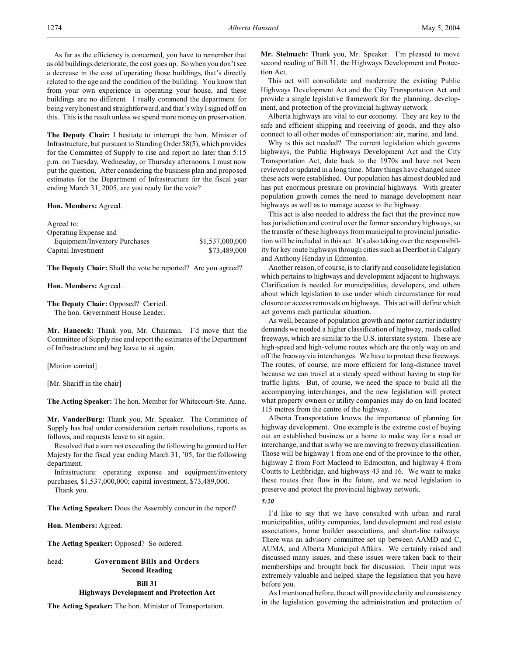As far as the efficiency is concerned, you have to remember that as old buildings deteriorate, the cost goes up. So when you don't see a decrease in the cost of operating those buildings, that's directly related to the age and the condition of the building. You know that from your own experience in operating your house, and these buildings are no different. I really commend the department for being very honest and straightforward, and that's why I signed off on this. This is the result unless we spend more money on preservation.

**The Deputy Chair:** I hesitate to interrupt the hon. Minister of Infrastructure, but pursuant to Standing Order 58(5), which provides for the Committee of Supply to rise and report no later than 5:15 p.m. on Tuesday, Wednesday, or Thursday afternoons, I must now put the question. After considering the business plan and proposed estimates for the Department of Infrastructure for the fiscal year ending March 31, 2005, are you ready for the vote?

# **Hon. Members:** Agreed.

Agreed to:

| Operating Expense and         |                 |
|-------------------------------|-----------------|
| Equipment/Inventory Purchases | \$1,537,000,000 |
| Capital Investment            | \$73,489,000    |

**The Deputy Chair:** Shall the vote be reported? Are you agreed?

# **Hon. Members:** Agreed.

**The Deputy Chair:** Opposed? Carried. The hon. Government House Leader.

**Mr. Hancock:** Thank you, Mr. Chairman. I'd move that the Committee of Supply rise and report the estimates of the Department of Infrastructure and beg leave to sit again.

[Motion carried]

[Mr. Shariff in the chair]

**The Acting Speaker:** The hon. Member for Whitecourt-Ste. Anne.

**Mr. VanderBurg:** Thank you, Mr. Speaker. The Committee of Supply has had under consideration certain resolutions, reports as follows, and requests leave to sit again.

Resolved that a sum not exceeding the following be granted to Her Majesty for the fiscal year ending March 31, '05, for the following department.

Infrastructure: operating expense and equipment/inventory purchases, \$1,537,000,000; capital investment, \$73,489,000.

Thank you.

**The Acting Speaker:** Does the Assembly concur in the report?

**Hon. Members:** Agreed.

**The Acting Speaker:** Opposed? So ordered.

# head: **Government Bills and Orders Second Reading**

### **Bill 31**

# **Highways Development and Protection Act**

**The Acting Speaker:** The hon. Minister of Transportation.

**Mr. Stelmach:** Thank you, Mr. Speaker. I'm pleased to move second reading of Bill 31, the Highways Development and Protection Act.

This act will consolidate and modernize the existing Public Highways Development Act and the City Transportation Act and provide a single legislative framework for the planning, development, and protection of the provincial highway network.

Alberta highways are vital to our economy. They are key to the safe and efficient shipping and receiving of goods, and they also connect to all other modes of transportation: air, marine, and land.

Why is this act needed? The current legislation which governs highways, the Public Highways Development Act and the City Transportation Act, date back to the 1970s and have not been reviewed or updated in a long time. Many things have changed since these acts were established. Our population has almost doubled and has put enormous pressure on provincial highways. With greater population growth comes the need to manage development near highways as well as to manage access to the highway.

This act is also needed to address the fact that the province now has jurisdiction and control over the former secondary highways, so the transfer of these highways from municipal to provincial jurisdiction will be included in this act. It's also taking over the responsibility for key route highways through cities such as Deerfoot in Calgary and Anthony Henday in Edmonton.

Another reason, of course, is to clarify and consolidate legislation which pertains to highways and development adjacent to highways. Clarification is needed for municipalities, developers, and others about which legislation to use under which circumstance for road closure or access removals on highways. This act will define which act governs each particular situation.

As well, because of population growth and motor carrier industry demands we needed a higher classification of highway, roads called freeways, which are similar to the U.S. interstate system. These are high-speed and high-volume routes which are the only way on and off the freeway via interchanges. We have to protect these freeways. The routes, of course, are more efficient for long-distance travel because we can travel at a steady speed without having to stop for traffic lights. But, of course, we need the space to build all the accompanying interchanges, and the new legislation will protect what property owners or utility companies may do on land located 115 metres from the centre of the highway.

Alberta Transportation knows the importance of planning for highway development. One example is the extreme cost of buying out an established business or a home to make way for a road or interchange, and that is why we are moving to freeway classification. Those will be highway 1 from one end of the province to the other, highway 2 from Fort Macleod to Edmonton, and highway 4 from Coutts to Lethbridge, and highways 43 and 16. We want to make these routes free flow in the future, and we need legislation to preserve and protect the provincial highway network.

#### *5:20*

I'd like to say that we have consulted with urban and rural municipalities, utility companies, land development and real estate associations, home builder associations, and short-line railways. There was an advisory committee set up between AAMD and C, AUMA, and Alberta Municipal Affairs. We certainly raised and discussed many issues, and these issues were taken back to their memberships and brought back for discussion. Their input was extremely valuable and helped shape the legislation that you have before you.

As I mentioned before, the act will provide clarity and consistency in the legislation governing the administration and protection of